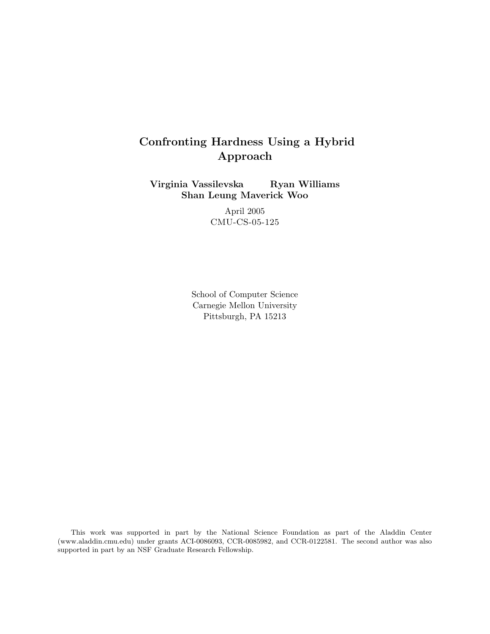# Confronting Hardness Using a Hybrid Approach

Virginia Vassilevska Ryan Williams Shan Leung Maverick Woo

> April 2005 CMU-CS-05-125

School of Computer Science Carnegie Mellon University Pittsburgh, PA 15213

This work was supported in part by the National Science Foundation as part of the Aladdin Center (www.aladdin.cmu.edu) under grants ACI-0086093, CCR-0085982, and CCR-0122581. The second author was also supported in part by an NSF Graduate Research Fellowship.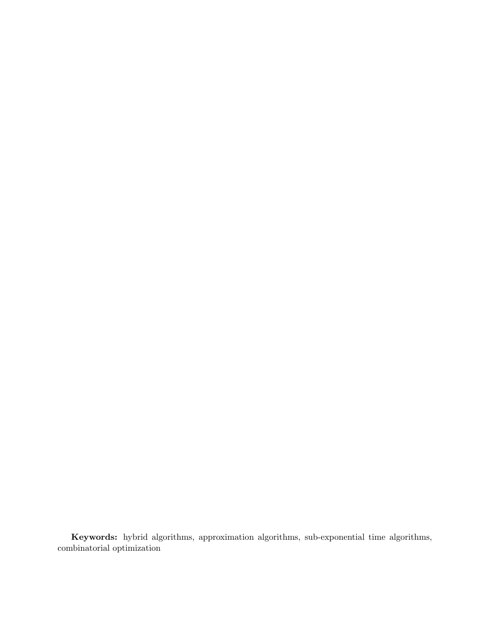Keywords: hybrid algorithms, approximation algorithms, sub-exponential time algorithms, combinatorial optimization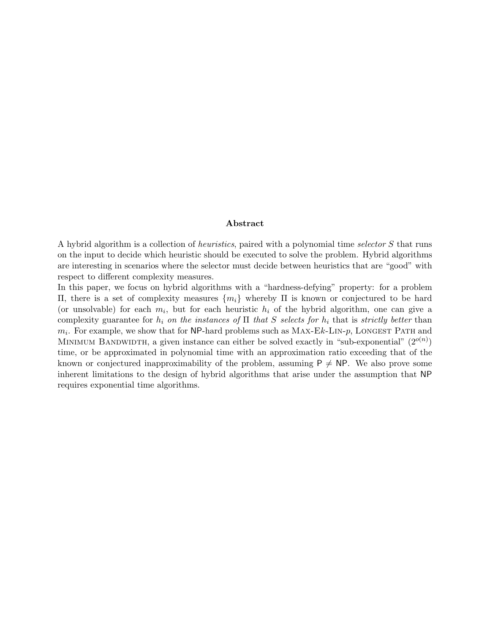## Abstract

A hybrid algorithm is a collection of heuristics, paired with a polynomial time selector S that runs on the input to decide which heuristic should be executed to solve the problem. Hybrid algorithms are interesting in scenarios where the selector must decide between heuristics that are "good" with respect to different complexity measures.

In this paper, we focus on hybrid algorithms with a "hardness-defying" property: for a problem Π, there is a set of complexity measures {mi} whereby Π is known or conjectured to be hard (or unsolvable) for each  $m_i$ , but for each heuristic  $h_i$  of the hybrid algorithm, one can give a complexity guarantee for  $h_i$  on the instances of  $\Pi$  that S selects for  $h_i$  that is strictly better than  $m_i$ . For example, we show that for NP-hard problems such as  $Max-Ek-LIN-p$ , LONGEST PATH and MINIMUM BANDWIDTH, a given instance can either be solved exactly in "sub-exponential"  $(2^{o(n)})$ time, or be approximated in polynomial time with an approximation ratio exceeding that of the known or conjectured inapproximability of the problem, assuming  $P \neq NP$ . We also prove some inherent limitations to the design of hybrid algorithms that arise under the assumption that NP requires exponential time algorithms.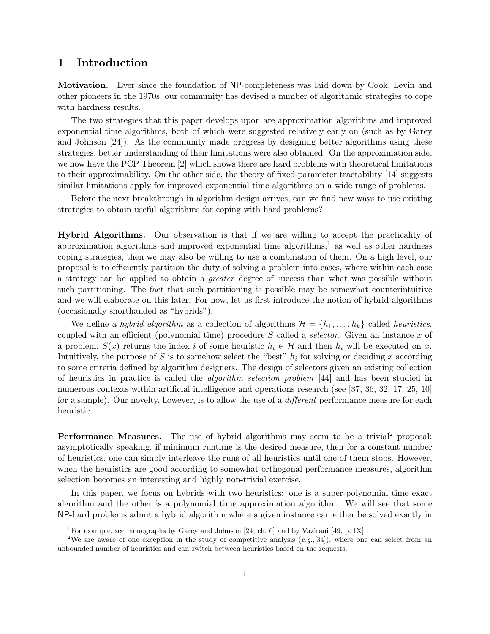# 1 Introduction

Motivation. Ever since the foundation of NP-completeness was laid down by Cook, Levin and other pioneers in the 1970s, our community has devised a number of algorithmic strategies to cope with hardness results.

The two strategies that this paper develops upon are approximation algorithms and improved exponential time algorithms, both of which were suggested relatively early on (such as by Garey and Johnson [24]). As the community made progress by designing better algorithms using these strategies, better understanding of their limitations were also obtained. On the approximation side, we now have the PCP Theorem [2] which shows there are hard problems with theoretical limitations to their approximability. On the other side, the theory of fixed-parameter tractability [14] suggests similar limitations apply for improved exponential time algorithms on a wide range of problems.

Before the next breakthrough in algorithm design arrives, can we find new ways to use existing strategies to obtain useful algorithms for coping with hard problems?

Hybrid Algorithms. Our observation is that if we are willing to accept the practicality of approximation algorithms and improved exponential time algorithms,<sup>1</sup> as well as other hardness coping strategies, then we may also be willing to use a combination of them. On a high level, our proposal is to efficiently partition the duty of solving a problem into cases, where within each case a strategy can be applied to obtain a greater degree of success than what was possible without such partitioning. The fact that such partitioning is possible may be somewhat counterintuitive and we will elaborate on this later. For now, let us first introduce the notion of hybrid algorithms (occasionally shorthanded as "hybrids").

We define a hybrid algorithm as a collection of algorithms  $\mathcal{H} = \{h_1, \ldots, h_k\}$  called heuristics, coupled with an efficient (polynomial time) procedure S called a selector. Given an instance x of a problem,  $S(x)$  returns the index i of some heuristic  $h_i \in \mathcal{H}$  and then  $h_i$  will be executed on x. Intuitively, the purpose of S is to somehow select the "best"  $h_i$  for solving or deciding x according to some criteria defined by algorithm designers. The design of selectors given an existing collection of heuristics in practice is called the algorithm selection problem [44] and has been studied in numerous contexts within artificial intelligence and operations research (see [37, 36, 32, 17, 25, 10] for a sample). Our novelty, however, is to allow the use of a *different* performance measure for each heuristic.

**Performance Measures.** The use of hybrid algorithms may seem to be a trivial<sup>2</sup> proposal: asymptotically speaking, if minimum runtime is the desired measure, then for a constant number of heuristics, one can simply interleave the runs of all heuristics until one of them stops. However, when the heuristics are good according to somewhat orthogonal performance measures, algorithm selection becomes an interesting and highly non-trivial exercise.

In this paper, we focus on hybrids with two heuristics: one is a super-polynomial time exact algorithm and the other is a polynomial time approximation algorithm. We will see that some NP-hard problems admit a hybrid algorithm where a given instance can either be solved exactly in

<sup>&</sup>lt;sup>1</sup>For example, see monographs by Garey and Johnson [24, ch. 6] and by Vazirani [49, p. IX].

<sup>&</sup>lt;sup>2</sup>We are aware of one exception in the study of competitive analysis  $(e.g., [34])$ , where one can select from an unbounded number of heuristics and can switch between heuristics based on the requests.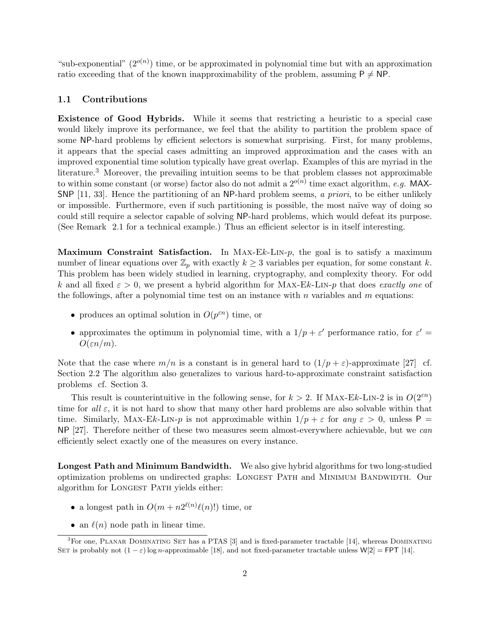"sub-exponential"  $(2^{o(n)})$  time, or be approximated in polynomial time but with an approximation ratio exceeding that of the known inapproximability of the problem, assuming  $P \neq NP$ .

# 1.1 Contributions

Existence of Good Hybrids. While it seems that restricting a heuristic to a special case would likely improve its performance, we feel that the ability to partition the problem space of some NP-hard problems by efficient selectors is somewhat surprising. First, for many problems, it appears that the special cases admitting an improved approximation and the cases with an improved exponential time solution typically have great overlap. Examples of this are myriad in the literature.<sup>3</sup> Moreover, the prevailing intuition seems to be that problem classes not approximable to within some constant (or worse) factor also do not admit a  $2^{o(n)}$  time exact algorithm, e.g. MAX-SNP [11, 33]. Hence the partitioning of an NP-hard problem seems, a priori, to be either unlikely or impossible. Furthermore, even if such partitioning is possible, the most naïve way of doing so could still require a selector capable of solving NP-hard problems, which would defeat its purpose. (See Remark 2.1 for a technical example.) Thus an efficient selector is in itself interesting.

**Maximum Constraint Satisfaction.** In MAX-Ek-LIN-p, the goal is to satisfy a maximum number of linear equations over  $\mathbb{Z}_p$  with exactly  $k \geq 3$  variables per equation, for some constant k. This problem has been widely studied in learning, cryptography, and complexity theory. For odd k and all fixed  $\varepsilon > 0$ , we present a hybrid algorithm for MAX-Ek-LIN-p that does exactly one of the followings, after a polynomial time test on an instance with n variables and  $m$  equations:

- produces an optimal solution in  $O(p^{\varepsilon n})$  time, or
- approximates the optimum in polynomial time, with a  $1/p + \varepsilon'$  performance ratio, for  $\varepsilon' =$  $O(\varepsilon n/m)$ .

Note that the case where  $m/n$  is a constant is in general hard to  $(1/p + \varepsilon)$ -approximate [27] cf. Section 2.2 The algorithm also generalizes to various hard-to-approximate constraint satisfaction problems cf. Section 3.

This result is counterintuitive in the following sense, for  $k > 2$ . If MAX-Ek-LIN-2 is in  $O(2^{\varepsilon n})$ time for all  $\varepsilon$ , it is not hard to show that many other hard problems are also solvable within that time. Similarly, MAX-Ek-LIN-p is not approximable within  $1/p + \varepsilon$  for any  $\varepsilon > 0$ , unless P NP [27]. Therefore neither of these two measures seem almost-everywhere achievable, but we can efficiently select exactly one of the measures on every instance.

Longest Path and Minimum Bandwidth. We also give hybrid algorithms for two long-studied optimization problems on undirected graphs: Longest Path and Minimum Bandwidth. Our algorithm for LONGEST PATH yields either:

- a longest path in  $O(m + n2^{\ell(n)}\ell(n)!)$  time, or
- an  $\ell(n)$  node path in linear time.

 ${}^{3}$ For one, PLANAR DOMINATING SET has a PTAS [3] and is fixed-parameter tractable [14], whereas DOMINATING SET is probably not  $(1 - \varepsilon)$  log n-approximable [18], and not fixed-parameter tractable unless W[2] = FPT [14].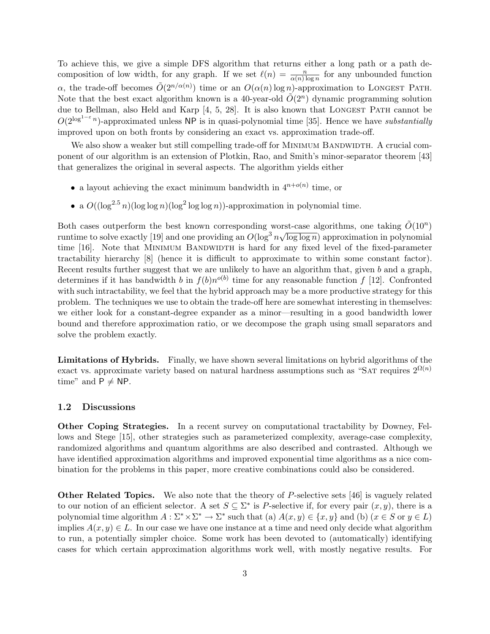To achieve this, we give a simple DFS algorithm that returns either a long path or a path decomposition of low width, for any graph. If we set  $\ell(n) = \frac{n}{\alpha(n) \log n}$  for any unbounded function α, the trade-off becomes  $\tilde{O}(2^{n/\alpha(n)})$  time or an  $O(\alpha(n) \log n)$ -approximation to LONGEST PATH. Note that the best exact algorithm known is a 40-year-old  $\tilde{O}(2^n)$  dynamic programming solution due to Bellman, also Held and Karp [4, 5, 28]. It is also known that LONGEST PATH cannot be  $O(2^{\log^{1-\varepsilon} n})$ -approximated unless NP is in quasi-polynomial time [35]. Hence we have substantially improved upon on both fronts by considering an exact vs. approximation trade-off.

We also show a weaker but still compelling trade-off for MINIMUM BANDWIDTH. A crucial component of our algorithm is an extension of Plotkin, Rao, and Smith's minor-separator theorem [43] that generalizes the original in several aspects. The algorithm yields either

- a layout achieving the exact minimum bandwidth in  $4^{n+o(n)}$  time, or
- a  $O((\log^{2.5} n)(\log \log n)(\log^2 \log \log n))$ -approximation in polynomial time.

Both cases outperform the best known corresponding worst-case algorithms, one taking  $\tilde{O}(10^n)$ runtime to solve exactly [19] and one providing an  $O(\log^3 n \sqrt{\log \log n})$  approximation in polynomial time [16]. Note that MINIMUM BANDWIDTH is hard for any fixed level of the fixed-parameter tractability hierarchy [8] (hence it is difficult to approximate to within some constant factor). Recent results further suggest that we are unlikely to have an algorithm that, given  $b$  and a graph, determines if it has bandwidth b in  $f(b)n^{o(b)}$  time for any reasonable function f [12]. Confronted with such intractability, we feel that the hybrid approach may be a more productive strategy for this problem. The techniques we use to obtain the trade-off here are somewhat interesting in themselves: we either look for a constant-degree expander as a minor—resulting in a good bandwidth lower bound and therefore approximation ratio, or we decompose the graph using small separators and solve the problem exactly.

Limitations of Hybrids. Finally, we have shown several limitations on hybrid algorithms of the exact vs. approximate variety based on natural hardness assumptions such as "SAT requires  $2^{\Omega(n)}$ time" and  $P \neq NP$ .

# 1.2 Discussions

Other Coping Strategies. In a recent survey on computational tractability by Downey, Fellows and Stege [15], other strategies such as parameterized complexity, average-case complexity, randomized algorithms and quantum algorithms are also described and contrasted. Although we have identified approximation algorithms and improved exponential time algorithms as a nice combination for the problems in this paper, more creative combinations could also be considered.

Other Related Topics. We also note that the theory of P-selective sets [46] is vaguely related to our notion of an efficient selector. A set  $S \subseteq \Sigma^*$  is P-selective if, for every pair  $(x, y)$ , there is a polynomial time algorithm  $A: \Sigma^* \times \Sigma^* \to \Sigma^*$  such that (a)  $A(x, y) \in \{x, y\}$  and (b)  $(x \in S$  or  $y \in L$ ) implies  $A(x, y) \in L$ . In our case we have one instance at a time and need only decide what algorithm to run, a potentially simpler choice. Some work has been devoted to (automatically) identifying cases for which certain approximation algorithms work well, with mostly negative results. For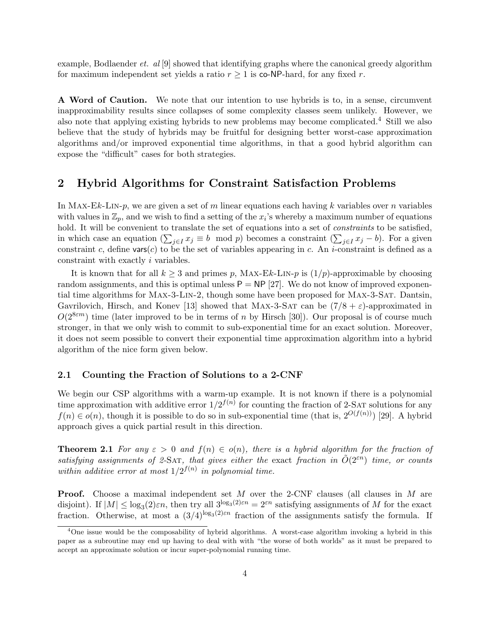example, Bodlaender et. al [9] showed that identifying graphs where the canonical greedy algorithm for maximum independent set yields a ratio  $r \geq 1$  is co-NP-hard, for any fixed r.

A Word of Caution. We note that our intention to use hybrids is to, in a sense, circumvent inapproximability results since collapses of some complexity classes seem unlikely. However, we also note that applying existing hybrids to new problems may become complicated.<sup>4</sup> Still we also believe that the study of hybrids may be fruitful for designing better worst-case approximation algorithms and/or improved exponential time algorithms, in that a good hybrid algorithm can expose the "difficult" cases for both strategies.

# 2 Hybrid Algorithms for Constraint Satisfaction Problems

In MAX-Ek-LIN-p, we are given a set of m linear equations each having k variables over n variables with values in  $\mathbb{Z}_p$ , and we wish to find a setting of the  $x_i$ 's whereby a maximum number of equations hold. It will be convenient to translate the set of equations into a set of *constraints* to be satisfied, in which case an equation  $(\sum_{j\in I} x_j \equiv b \mod p)$  becomes a constraint  $(\sum_{j\in I} x_j - b)$ . For a given constraint c, define vars(c) to be the set of variables appearing in c. An i-constraint is defined as a constraint with exactly i variables.

It is known that for all  $k \geq 3$  and primes p, MAX-Ek-LIN-p is  $(1/p)$ -approximable by choosing random assignments, and this is optimal unless  $P = NP$  [27]. We do not know of improved exponential time algorithms for Max-3-Lin-2, though some have been proposed for Max-3-Sat. Dantsin, Gavrilovich, Hirsch, and Konev [13] showed that MAX-3-SAT can be  $(7/8 + \varepsilon)$ -approximated in  $O(2^{8\epsilon m})$  time (later improved to be in terms of n by Hirsch [30]). Our proposal is of course much stronger, in that we only wish to commit to sub-exponential time for an exact solution. Moreover, it does not seem possible to convert their exponential time approximation algorithm into a hybrid algorithm of the nice form given below.

# 2.1 Counting the Fraction of Solutions to a 2-CNF

We begin our CSP algorithms with a warm-up example. It is not known if there is a polynomial time approximation with additive error  $1/2^{f(n)}$  for counting the fraction of 2-SAT solutions for any  $f(n) \in o(n)$ , though it is possible to do so in sub-exponential time (that is,  $2^{O(f(n))}$ ) [29]. A hybrid approach gives a quick partial result in this direction.

**Theorem 2.1** For any  $\varepsilon > 0$  and  $f(n) \in o(n)$ , there is a hybrid algorithm for the fraction of satisfying assignments of 2-SAT, that gives either the exact fraction in  $\tilde{O}(2^{sn})$  time, or counts within additive error at most  $1/2^{f(n)}$  in polynomial time.

**Proof.** Choose a maximal independent set M over the 2-CNF clauses (all clauses in M are disjoint). If  $|M| \leq \log_3(2)\varepsilon n$ , then try all  $3^{\log_3(2)\varepsilon n} = 2^{\varepsilon n}$  satisfying assignments of M for the exact fraction. Otherwise, at most a  $(3/4)^{\log_3(2)\varepsilon n}$  fraction of the assignments satisfy the formula. If

<sup>4</sup>One issue would be the composability of hybrid algorithms. A worst-case algorithm invoking a hybrid in this paper as a subroutine may end up having to deal with with "the worse of both worlds" as it must be prepared to accept an approximate solution or incur super-polynomial running time.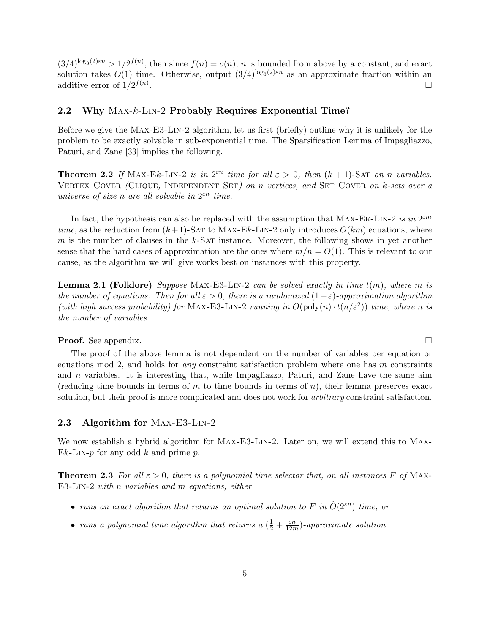$(3/4)^{\log_3(2)\varepsilon n} > 1/2^{f(n)}$ , then since  $f(n) = o(n)$ , n is bounded from above by a constant, and exact solution takes  $O(1)$  time. Otherwise, output  $(3/4)^{\log_3(2)\varepsilon n}$  as an approximate fraction within an additive error of  $1/2^{f(n)}$ . The contract of the contract of the contract of the contract of  $\Box$ 

## 2.2 Why Max-k-Lin-2 Probably Requires Exponential Time?

Before we give the Max-E3-Lin-2 algorithm, let us first (briefly) outline why it is unlikely for the problem to be exactly solvable in sub-exponential time. The Sparsification Lemma of Impagliazzo, Paturi, and Zane [33] implies the following.

**Theorem 2.2** If MAX-Ek-LIN-2 is in  $2^{\varepsilon n}$  time for all  $\varepsilon > 0$ , then  $(k + 1)$ -SAT on n variables, VERTEX COVER (CLIQUE, INDEPENDENT SET) on n vertices, and SET COVER on k-sets over a universe of size n are all solvable in  $2^{\varepsilon n}$  time.

In fact, the hypothesis can also be replaced with the assumption that MAX-EK-LIN-2 is in  $2^{\varepsilon m}$ time, as the reduction from  $(k+1)$ -SAT to MAX-Ek-LIN-2 only introduces  $O(km)$  equations, where m is the number of clauses in the  $k$ -SAT instance. Moreover, the following shows in yet another sense that the hard cases of approximation are the ones where  $m/n = O(1)$ . This is relevant to our cause, as the algorithm we will give works best on instances with this property.

**Lemma 2.1 (Folklore)** Suppose MAX-E3-LIN-2 can be solved exactly in time  $t(m)$ , where m is the number of equations. Then for all  $\varepsilon > 0$ , there is a randomized  $(1-\varepsilon)$ -approximation algorithm (with high success probability) for MAX-E3-LIN-2 running in  $O(poly(n) \cdot t(n/\varepsilon^2))$  time, where n is the number of variables.

**Proof.** See appendix. □

The proof of the above lemma is not dependent on the number of variables per equation or equations mod 2, and holds for *any* constraint satisfaction problem where one has  $m$  constraints and  $n$  variables. It is interesting that, while Impagliazzo, Paturi, and Zane have the same aim (reducing time bounds in terms of  $m$  to time bounds in terms of  $n$ ), their lemma preserves exact solution, but their proof is more complicated and does not work for *arbitrary* constraint satisfaction.

# 2.3 Algorithm for Max-E3-Lin-2

We now establish a hybrid algorithm for MAX-E3-LIN-2. Later on, we will extend this to MAX- $Ek-LIN-p$  for any odd k and prime p.

**Theorem 2.3** For all  $\varepsilon > 0$ , there is a polynomial time selector that, on all instances F of MAX-E3-Lin-2 with n variables and m equations, either

- runs an exact algorithm that returns an optimal solution to F in  $O(2^{\varepsilon n})$  time, or
- runs a polynomial time algorithm that returns a  $(\frac{1}{2} + \frac{\varepsilon n}{12n})$  $\frac{\varepsilon n}{12m}$ )-approximate solution.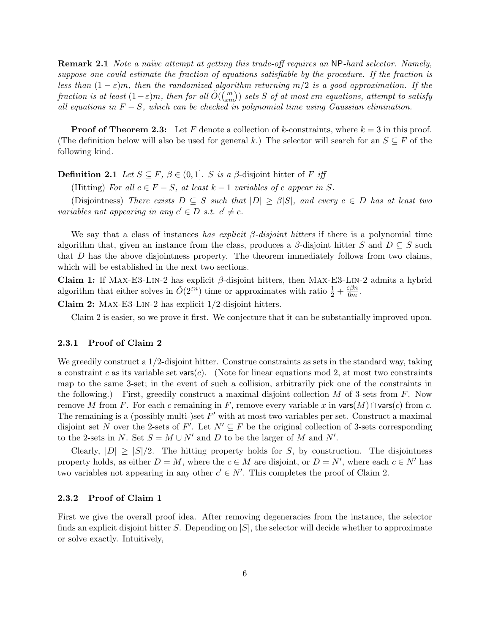**Remark 2.1** Note a naïve attempt at getting this trade-off requires an NP-hard selector. Namely, suppose one could estimate the fraction of equations satisfiable by the procedure. If the fraction is less than  $(1 - \varepsilon)m$ , then the randomized algorithm returning  $m/2$  is a good approximation. If the tess than  $(1 - \varepsilon)m$ , then the randomized algorithm returning  $m/2$  is a good approximation. If the<br>fraction is at least  $(1 - \varepsilon)m$ , then for all  $\tilde{O}(\binom{m}{\varepsilon m})$  sets S of at most  $\varepsilon m$  equations, attempt to satisfy all equations in  $F - S$ , which can be checked in polynomial time using Gaussian elimination.

**Proof of Theorem 2.3:** Let F denote a collection of k-constraints, where  $k = 3$  in this proof. (The definition below will also be used for general k.) The selector will search for an  $S \subseteq F$  of the following kind.

**Definition 2.1** Let  $S \subseteq F$ ,  $\beta \in (0,1]$ . S is a  $\beta$ -disjoint hitter of F iff

(Hitting) For all  $c \in F - S$ , at least  $k - 1$  variables of c appear in S.

(Disjointness) There exists  $D \subseteq S$  such that  $|D| \geq \beta |S|$ , and every  $c \in D$  has at least two variables not appearing in any  $c' \in D$  s.t.  $c' \neq c$ .

We say that a class of instances has explicit  $\beta$ -disjoint hitters if there is a polynomial time algorithm that, given an instance from the class, produces a  $\beta$ -disjoint hitter S and  $D \subseteq S$  such that D has the above disjointness property. The theorem immediately follows from two claims, which will be established in the next two sections.

Claim 1: If MAX-E3-LIN-2 has explicit  $\beta$ -disjoint hitters, then MAX-E3-LIN-2 admits a hybrid algorithm that either solves in  $\tilde{O}(2^{\varepsilon n})$  time or approximates with ratio  $\frac{1}{2} + \frac{\varepsilon \beta n}{6m}$  $\frac{\varepsilon \beta n}{6m}.$ 

Claim 2: Max-E3-Lin-2 has explicit 1/2-disjoint hitters.

Claim 2 is easier, so we prove it first. We conjecture that it can be substantially improved upon.

## 2.3.1 Proof of Claim 2

We greedily construct a  $1/2$ -disjoint hitter. Construe constraints as sets in the standard way, taking a constraint c as its variable set vars $(c)$ . (Note for linear equations mod 2, at most two constraints map to the same 3-set; in the event of such a collision, arbitrarily pick one of the constraints in the following.) First, greedily construct a maximal disjoint collection  $M$  of 3-sets from  $F$ . Now remove M from F. For each c remaining in F, remove every variable x in vars $(M) \cap \text{vars}(c)$  from c. The remaining is a (possibly multi-)set  $F'$  with at most two variables per set. Construct a maximal disjoint set N over the 2-sets of F'. Let  $N' \subseteq F$  be the original collection of 3-sets corresponding to the 2-sets in N. Set  $S = M \cup N'$  and D to be the larger of M and N'.

Clearly,  $|D| \geq |S|/2$ . The hitting property holds for S, by construction. The disjointness property holds, as either  $D = M$ , where the  $c \in M$  are disjoint, or  $D = N'$ , where each  $c \in N'$  has two variables not appearing in any other  $c' \in N'$ . This completes the proof of Claim 2.

# 2.3.2 Proof of Claim 1

First we give the overall proof idea. After removing degeneracies from the instance, the selector finds an explicit disjoint hitter S. Depending on  $|S|$ , the selector will decide whether to approximate or solve exactly. Intuitively,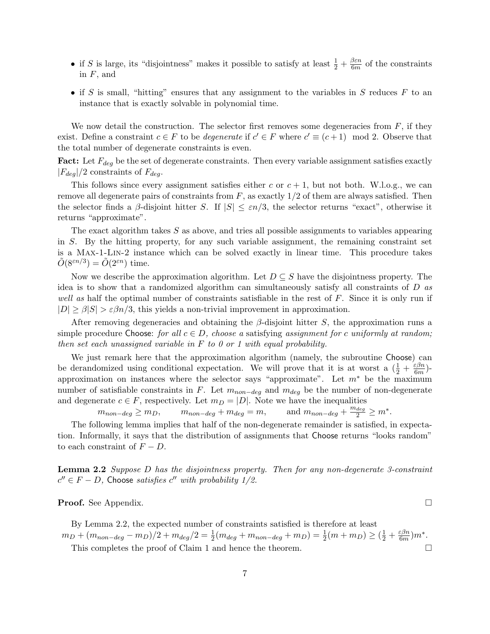- if S is large, its "disjointness" makes it possible to satisfy at least  $\frac{1}{2} + \frac{\beta \varepsilon n}{6m}$  $\frac{6\pi n}{6m}$  of the constraints in  $F$ , and
- if S is small, "hitting" ensures that any assignment to the variables in S reduces  $F$  to an instance that is exactly solvable in polynomial time.

We now detail the construction. The selector first removes some degeneracies from  $F$ , if they exist. Define a constraint  $c \in F$  to be *degenerate* if  $c' \in F$  where  $c' \equiv (c+1) \mod 2$ . Observe that the total number of degenerate constraints is even.

**Fact:** Let  $F_{deg}$  be the set of degenerate constraints. Then every variable assignment satisfies exactly  $|F_{deq}|/2$  constraints of  $F_{deq}$ .

This follows since every assignment satisfies either c or  $c + 1$ , but not both. W.l.o.g., we can remove all degenerate pairs of constraints from  $F$ , as exactly  $1/2$  of them are always satisfied. Then the selector finds a  $\beta$ -disjoint hitter S. If  $|S| \leq \varepsilon n/3$ , the selector returns "exact", otherwise it returns "approximate".

The exact algorithm takes  $S$  as above, and tries all possible assignments to variables appearing in S. By the hitting property, for any such variable assignment, the remaining constraint set is a Max-1-Lin-2 instance which can be solved exactly in linear time. This procedure takes  $\tilde{O}(8^{\varepsilon n/3}) = \tilde{O}(2^{\varepsilon n})$  time.

Now we describe the approximation algorithm. Let  $D \subseteq S$  have the disjointness property. The idea is to show that a randomized algorithm can simultaneously satisfy all constraints of D as well as half the optimal number of constraints satisfiable in the rest of  $F$ . Since it is only run if  $|D| \geq \beta |S| > \varepsilon \beta n/3$ , this yields a non-trivial improvement in approximation.

After removing degeneracies and obtaining the  $\beta$ -disjoint hitter S, the approximation runs a simple procedure Choose: for all  $c \in D$ , choose a satisfying assignment for c uniformly at random; then set each unassigned variable in  $F$  to 0 or 1 with equal probability.

We just remark here that the approximation algorithm (namely, the subroutine Choose) can be derandomized using conditional expectation. We will prove that it is at worst a  $(\frac{1}{2} + \frac{\varepsilon \beta n}{6m})$  $\frac{\varepsilon \beta n}{6m}$ )approximation on instances where the selector says "approximate". Let  $m^*$  be the maximum number of satisfiable constraints in F. Let  $m_{non-deg}$  and  $m_{deg}$  be the number of non-degenerate and degenerate  $c \in F$ , respectively. Let  $m_D = |D|$ . Note we have the inequalities

 $m_{non-deg} \geq m_D,$   $m_{non-deg} + m_{deg} = m,$  and  $m_{non-deg} + \frac{m_{deg}}{2} \geq m^*$ .

The following lemma implies that half of the non-degenerate remainder is satisfied, in expectation. Informally, it says that the distribution of assignments that Choose returns "looks random" to each constraint of  $F - D$ .

**Lemma 2.2** Suppose  $D$  has the disjointness property. Then for any non-degenerate 3-constraint  $c'' \in F - D$ , Choose satisfies  $c''$  with probability 1/2.

**Proof.** See Appendix. □

By Lemma 2.2, the expected number of constraints satisfied is therefore at least  $m_D + (m_{non-deg} - m_D)/2 + m_{deg}/2 = \frac{1}{2}(m_{deg} + m_{non-deg} + m_D) = \frac{1}{2}(m + m_D) \ge (\frac{1}{2} + \frac{\varepsilon \beta n}{6m})$  $\frac{\varepsilon \beta n}{6m})m^*.$ This completes the proof of Claim 1 and hence the theorem.  $\Box$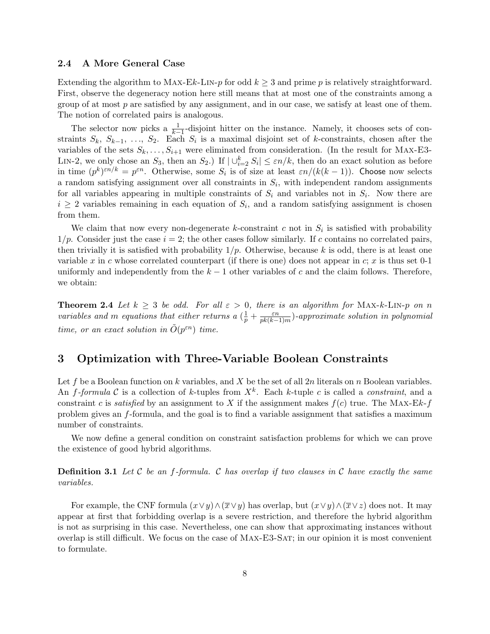# 2.4 A More General Case

Extending the algorithm to MAX-Ek-LIN-p for odd  $k \geq 3$  and prime p is relatively straightforward. First, observe the degeneracy notion here still means that at most one of the constraints among a group of at most  $p$  are satisfied by any assignment, and in our case, we satisfy at least one of them. The notion of correlated pairs is analogous.

The selector now picks a  $\frac{1}{k-1}$ -disjoint hitter on the instance. Namely, it chooses sets of constraints  $S_k$ ,  $S_{k-1}$ , ...,  $S_2$ . Each  $S_i$  is a maximal disjoint set of k-constraints, chosen after the variables of the sets  $S_k, \ldots, S_{i+1}$  were eliminated from consideration. (In the result for MAX-E3-LIN-2, we only chose an  $S_3$ , then an  $S_2$ .) If  $|\bigcup_{i=2}^k S_i| \leq \varepsilon n/k$ , then do an exact solution as before in time  $(p^k)^{\varepsilon n/k} = p^{\varepsilon n}$ . Otherwise, some  $S_i$  is of size at least  $\varepsilon n/(k(k-1))$ . Choose now selects a random satisfying assignment over all constraints in  $S_i$ , with independent random assignments for all variables appearing in multiple constraints of  $S_i$  and variables not in  $S_i$ . Now there are  $i \geq 2$  variables remaining in each equation of  $S_i$ , and a random satisfying assignment is chosen from them.

We claim that now every non-degenerate k-constraint c not in  $S_i$  is satisfied with probability  $1/p$ . Consider just the case  $i = 2$ ; the other cases follow similarly. If c contains no correlated pairs, then trivially it is satisfied with probability  $1/p$ . Otherwise, because k is odd, there is at least one variable x in c whose correlated counterpart (if there is one) does not appear in c; x is thus set 0-1 uniformly and independently from the  $k-1$  other variables of c and the claim follows. Therefore, we obtain:

**Theorem 2.4** Let  $k \geq 3$  be odd. For all  $\varepsilon > 0$ , there is an algorithm for MAX-k-LIN-p on n variables and m equations that either returns a  $\left(\frac{1}{p} + \frac{\varepsilon n}{p k (k-1)}\right)$  $\frac{\varepsilon n}{pk(k-1)m}$ )-approximate solution in polynomial time, or an exact solution in  $\tilde{O}(p^{\varepsilon n})$  time.

# 3 Optimization with Three-Variable Boolean Constraints

Let f be a Boolean function on k variables, and X be the set of all  $2n$  literals on n Boolean variables. An f-formula C is a collection of k-tuples from  $X^k$ . Each k-tuple c is called a constraint, and a constraint c is *satisfied* by an assignment to X if the assignment makes  $f(c)$  true. The MAX-Ek-f problem gives an f-formula, and the goal is to find a variable assignment that satisfies a maximum number of constraints.

We now define a general condition on constraint satisfaction problems for which we can prove the existence of good hybrid algorithms.

**Definition 3.1** Let C be an f-formula. C has overlap if two clauses in C have exactly the same variables.

For example, the CNF formula  $(x \vee y) \wedge (\overline{x} \vee y)$  has overlap, but  $(x \vee y) \wedge (\overline{x} \vee z)$  does not. It may appear at first that forbidding overlap is a severe restriction, and therefore the hybrid algorithm is not as surprising in this case. Nevertheless, one can show that approximating instances without overlap is still difficult. We focus on the case of Max-E3-Sat; in our opinion it is most convenient to formulate.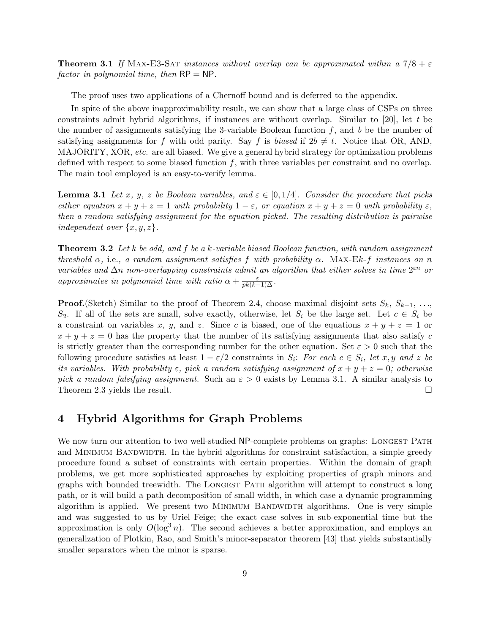**Theorem 3.1** If MAX-E3-SAT instances without overlap can be approximated within a  $7/8 + \epsilon$ factor in polynomial time, then  $RP = NP$ .

The proof uses two applications of a Chernoff bound and is deferred to the appendix.

In spite of the above inapproximability result, we can show that a large class of CSPs on three constraints admit hybrid algorithms, if instances are without overlap. Similar to [20], let t be the number of assignments satisfying the 3-variable Boolean function  $f$ , and  $b$  be the number of satisfying assignments for f with odd parity. Say f is biased if  $2b \neq t$ . Notice that OR, AND, MAJORITY, XOR, etc. are all biased. We give a general hybrid strategy for optimization problems defined with respect to some biased function f, with three variables per constraint and no overlap. The main tool employed is an easy-to-verify lemma.

**Lemma 3.1** Let x, y, z be Boolean variables, and  $\varepsilon \in [0, 1/4]$ . Consider the procedure that picks either equation  $x + y + z = 1$  with probability  $1 - \varepsilon$ , or equation  $x + y + z = 0$  with probability  $\varepsilon$ , then a random satisfying assignment for the equation picked. The resulting distribution is pairwise independent over  $\{x, y, z\}$ .

**Theorem 3.2** Let k be odd, and f be a k-variable biased Boolean function, with random assignment threshold  $\alpha$ , i.e., a random assignment satisfies f with probability  $\alpha$ . MAX-Ek-f instances on n variables and  $\Delta n$  non-overlapping constraints admit an algorithm that either solves in time  $2^{\varepsilon n}$  or approximates in polynomial time with ratio  $\alpha + \frac{\varepsilon}{pk(k-1)\Delta}$ .

**Proof.**(Sketch) Similar to the proof of Theorem 2.4, choose maximal disjoint sets  $S_k$ ,  $S_{k-1}$ , ...,  $S_2$ . If all of the sets are small, solve exactly, otherwise, let  $S_i$  be the large set. Let  $c \in S_i$  be a constraint on variables x, y, and z. Since c is biased, one of the equations  $x + y + z = 1$  or  $x + y + z = 0$  has the property that the number of its satisfying assignments that also satisfy c is strictly greater than the corresponding number for the other equation. Set  $\varepsilon > 0$  such that the following procedure satisfies at least  $1 - \varepsilon/2$  constraints in  $S_i$ : For each  $c \in S_i$ , let  $x, y$  and z be its variables. With probability  $\varepsilon$ , pick a random satisfying assignment of  $x + y + z = 0$ ; otherwise pick a random falsifying assignment. Such an  $\varepsilon > 0$  exists by Lemma 3.1. A similar analysis to Theorem 2.3 yields the result.  $\Box$ 

# 4 Hybrid Algorithms for Graph Problems

We now turn our attention to two well-studied NP-complete problems on graphs: LONGEST PATH and MINIMUM BANDWIDTH. In the hybrid algorithms for constraint satisfaction, a simple greedy procedure found a subset of constraints with certain properties. Within the domain of graph problems, we get more sophisticated approaches by exploiting properties of graph minors and graphs with bounded treewidth. The Longest Path algorithm will attempt to construct a long path, or it will build a path decomposition of small width, in which case a dynamic programming algorithm is applied. We present two MINIMUM BANDWIDTH algorithms. One is very simple and was suggested to us by Uriel Feige; the exact case solves in sub-exponential time but the approximation is only  $O(\log^3 n)$ . The second achieves a better approximation, and employs an generalization of Plotkin, Rao, and Smith's minor-separator theorem [43] that yields substantially smaller separators when the minor is sparse.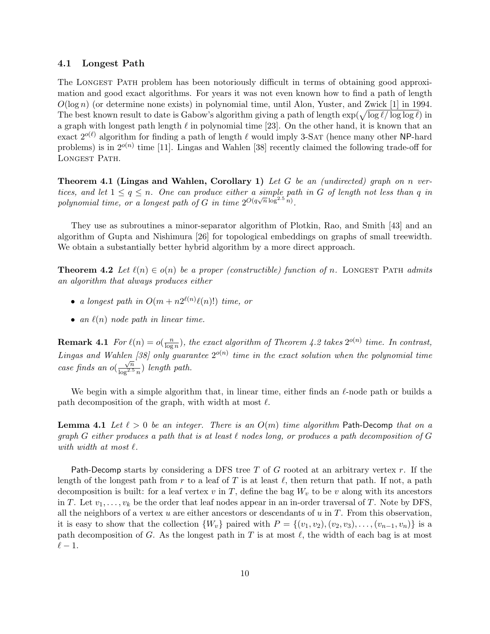# 4.1 Longest Path

The Longest Path problem has been notoriously difficult in terms of obtaining good approximation and good exact algorithms. For years it was not even known how to find a path of length  $O(\log n)$  (or determine none exists) in polynomial time, until Alon, Yuster, and Zwick [1] in 1994.  $O(\log n)$  (or determine none exists) in polynomial time, until Alon, Yuster, and Zwick [1] in 1994.<br>The best known result to date is Gabow's algorithm giving a path of length  $\exp(\sqrt{\log \ell/\log \log \ell})$  in a graph with longest path length  $\ell$  in polynomial time [23]. On the other hand, it is known that an exact  $2^{o(\ell)}$  algorithm for finding a path of length  $\ell$  would imply 3-SAT (hence many other NP-hard problems) is in  $2^{o(n)}$  time [11]. Lingas and Wahlen [38] recently claimed the following trade-off for LONGEST PATH.

**Theorem 4.1 (Lingas and Wahlen, Corollary 1)** Let G be an (undirected) graph on n vertices, and let  $1 \leq q \leq n$ . One can produce either a simple path in G of length not less than q in polynomial time, or a longest path of G in time  $2^{O(q\sqrt{n}\log^{2.5} n)}$ .

They use as subroutines a minor-separator algorithm of Plotkin, Rao, and Smith [43] and an algorithm of Gupta and Nishimura [26] for topological embeddings on graphs of small treewidth. We obtain a substantially better hybrid algorithm by a more direct approach.

**Theorem 4.2** Let  $\ell(n) \in o(n)$  be a proper (constructible) function of n. LONGEST PATH admits an algorithm that always produces either

- a longest path in  $O(m + n2^{\ell(n)}\ell(n)!)$  time, or
- an  $\ell(n)$  node path in linear time.

**Remark 4.1** For  $\ell(n) = o(\frac{n}{\log n})$  $\frac{n}{\log n}$ ), the exact algorithm of Theorem 4.2 takes  $2^{o(n)}$  time. In contrast, Lingas and Wahlen [38] only guarantee  $2^{o(n)}$  time in the exact solution when the polynomial time case finds an  $o(\frac{\sqrt{n}}{\ln n^{2.5}})$  $\frac{\sqrt{n}}{\log^{2.5} n}$ ) length path.

We begin with a simple algorithm that, in linear time, either finds an  $\ell$ -node path or builds a path decomposition of the graph, with width at most  $\ell$ .

**Lemma 4.1** Let  $\ell > 0$  be an integer. There is an  $O(m)$  time algorithm Path-Decomp that on a graph G either produces a path that is at least  $\ell$  nodes long, or produces a path decomposition of G with width at most  $\ell$ .

Path-Decomp starts by considering a DFS tree T of G rooted at an arbitrary vertex  $r$ . If the length of the longest path from r to a leaf of T is at least  $\ell$ , then return that path. If not, a path decomposition is built: for a leaf vertex v in T, define the bag  $W_v$  to be v along with its ancestors in T. Let  $v_1, \ldots, v_k$  be the order that leaf nodes appear in an in-order traversal of T. Note by DFS, all the neighbors of a vertex  $u$  are either ancestors or descendants of  $u$  in  $T$ . From this observation, it is easy to show that the collection  $\{W_v\}$  paired with  $P = \{(v_1, v_2), (v_2, v_3), \ldots, (v_{n-1}, v_n)\}\$ is a path decomposition of G. As the longest path in T is at most  $\ell$ , the width of each bag is at most  $\ell - 1$ .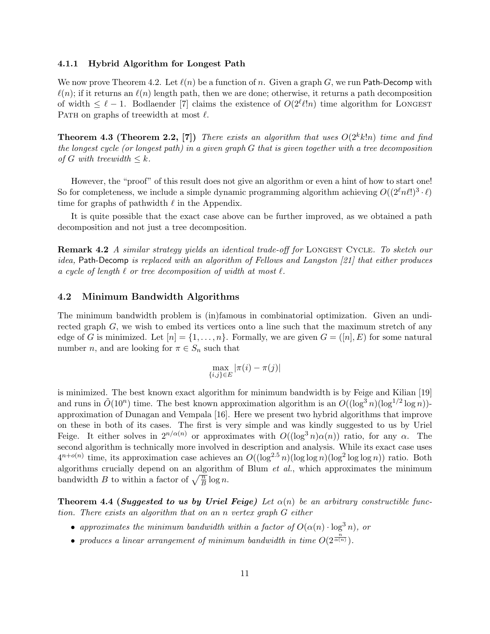#### 4.1.1 Hybrid Algorithm for Longest Path

We now prove Theorem 4.2. Let  $\ell(n)$  be a function of n. Given a graph G, we run Path-Decomp with  $\ell(n)$ ; if it returns an  $\ell(n)$  length path, then we are done; otherwise, it returns a path decomposition of width  $\leq \ell - 1$ . Bodlaender [7] claims the existence of  $O(2^{\ell} \ell! n)$  time algorithm for LONGEST PATH on graphs of treewidth at most  $\ell$ .

**Theorem 4.3 (Theorem 2.2, [7])** There exists an algorithm that uses  $O(2^k k!n)$  time and find the longest cycle (or longest path) in a given graph G that is given together with a tree decomposition of G with treewidth  $\leq k$ .

However, the "proof" of this result does not give an algorithm or even a hint of how to start one! So for completeness, we include a simple dynamic programming algorithm achieving  $O((2^{\ell} n \ell!)^3 \cdot \ell)$ time for graphs of pathwidth  $\ell$  in the Appendix.

It is quite possible that the exact case above can be further improved, as we obtained a path decomposition and not just a tree decomposition.

**Remark 4.2** A similar strategy yields an identical trade-off for LONGEST CYCLE. To sketch our idea, Path-Decomp is replaced with an algorithm of Fellows and Langston [21] that either produces a cycle of length  $\ell$  or tree decomposition of width at most  $\ell$ .

# 4.2 Minimum Bandwidth Algorithms

The minimum bandwidth problem is (in)famous in combinatorial optimization. Given an undirected graph  $G$ , we wish to embed its vertices onto a line such that the maximum stretch of any edge of G is minimized. Let  $[n] = \{1, \ldots, n\}$ . Formally, we are given  $G = ([n], E)$  for some natural number *n*, and are looking for  $\pi \in S_n$  such that

$$
\max_{\{i,j\}\in E}|\pi(i)-\pi(j)|
$$

is minimized. The best known exact algorithm for minimum bandwidth is by Feige and Kilian [19] and runs in  $\tilde{O}(10^n)$  time. The best known approximation algorithm is an  $O((\log^3 n)(\log^{1/2} \log n))$ approximation of Dunagan and Vempala [16]. Here we present two hybrid algorithms that improve on these in both of its cases. The first is very simple and was kindly suggested to us by Uriel Feige. It either solves in  $2^{n/\alpha(n)}$  or approximates with  $O((\log^3 n)\alpha(n))$  ratio, for any  $\alpha$ . The second algorithm is technically more involved in description and analysis. While its exact case uses  $4^{n+o(n)}$  time, its approximation case achieves an  $O((\log^{2.5} n)(\log \log n)(\log^2 \log \log n))$  ratio. Both algorithms crucially depend on an algorithm of Blum  $et$  al., which approximates the minimum algorithms crucially depend on an algorithm<br>bandwidth B to within a factor of  $\sqrt{\frac{n}{B}} \log n$ .

**Theorem 4.4 (Suggested to us by Uriel Feige)** Let  $\alpha(n)$  be an arbitrary constructible function. There exists an algorithm that on an n vertex graph G either

- approximates the minimum bandwidth within a factor of  $O(\alpha(n) \cdot \log^3 n)$ , or
- produces a linear arrangement of minimum bandwidth in time  $O(2^{\frac{n}{\alpha(n)}})$ .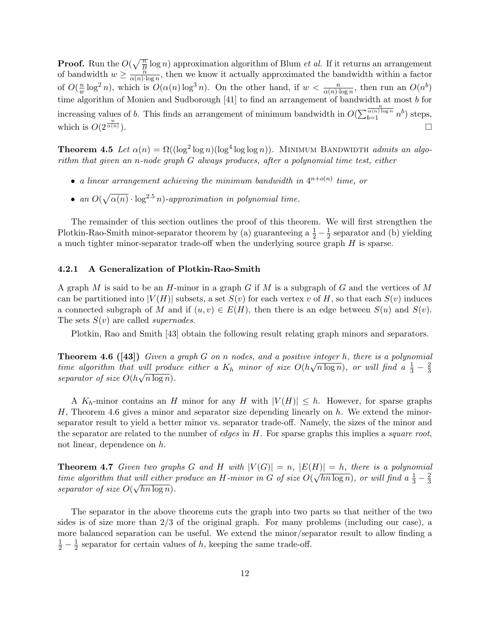**Proof.** Run the  $O(\sqrt{\frac{n}{R}})$  $\frac{\overline{n}}{B}$  log *n*) approximation algorithm of Blum *et al.* If it returns an arrangement of bandwidth  $w \geq \frac{n}{\alpha(n+1)}$  $\frac{n}{\alpha(n) \log n}$ , then we know it actually approximated the bandwidth within a factor of  $O(\frac{n}{w})$  $\frac{n}{w} \log^2 n$ , which is  $O(\alpha(n) \log^3 n)$ . On the other hand, if  $w < \frac{n}{\alpha(n) \cdot \log n}$ , then run an  $O(n^b)$ time algorithm of Monien and Sudborough [41] to find an arrangement of bandwidth at most b for increasing values of  $b$ . This finds an arrangement of minimum bandwidth in  $O($ the new steps, the steps is an arrangement of minimum bandwidth in  $O(\sum_{b=1}^{\frac{n}{\alpha(n)\log n}} n^b)$  steps, which is  $O(2^{\frac{n}{\alpha(n)}})$ .  $\overline{\alpha(n)}$ ).

**Theorem 4.5** Let  $\alpha(n) = \Omega((\log^2 \log n)(\log^4 \log \log n))$ . MINIMUM BANDWIDTH admits an algorithm that given an n-node graph G always produces, after a polynomial time test, either

- a linear arrangement achieving the minimum bandwidth in  $4^{n+o(n)}$  time, or
- $\bullet$  an  $O($  $\sqrt{\alpha(n)} \cdot \log^{2.5} n$ )-approximation in polynomial time.

The remainder of this section outlines the proof of this theorem. We will first strengthen the Plotkin-Rao-Smith minor-separator theorem by (a) guaranteeing a  $\frac{1}{2} - \frac{1}{2}$  $\frac{1}{2}$  separator and (b) yielding a much tighter minor-separator trade-off when the underlying source graph  $H$  is sparse.

## 4.2.1 A Generalization of Plotkin-Rao-Smith

A graph M is said to be an H-minor in a graph G if M is a subgraph of G and the vertices of M can be partitioned into  $|V(H)|$  subsets, a set  $S(v)$  for each vertex v of H, so that each  $S(v)$  induces a connected subgraph of M and if  $(u, v) \in E(H)$ , then there is an edge between  $S(u)$  and  $S(v)$ . The sets  $S(v)$  are called *supernodes*.

Plotkin, Rao and Smith [43] obtain the following result relating graph minors and separators.

**Theorem 4.6 ([43])** Given a graph G on n nodes, and a positive integer h, there is a polynomial time algorithm that will produce either a  $K_h$  minor of size  $O(h\sqrt{n \log n})$ , or will find a  $\frac{1}{3} - \frac{2}{3}$ which produce either a  $K_h$  minor of size  $O(n\sqrt{n}\log n)$ , or which find  $a_{\overline{3}} - \overline{3}$ separator of size  $O(h\sqrt{n \log n})$ .

A  $K_h$ -minor contains an H minor for any H with  $|V(H)| \leq h$ . However, for sparse graphs  $H$ , Theorem 4.6 gives a minor and separator size depending linearly on  $h$ . We extend the minorseparator result to yield a better minor vs. separator trade-off. Namely, the sizes of the minor and the separator are related to the number of *edges* in  $H$ . For sparse graphs this implies a *square root*, not linear, dependence on h.

**Theorem 4.7** Given two graphs G and H with  $|V(G)| = n$ ,  $|E(H)| = h$ , there is a polynomial time algorithm that will either produce an H-minor in G of size  $O(\sqrt{hn \log n})$ , or will find a  $\frac{1}{3} - \frac{2}{3}$ while the produce an  $\pi$ -mmor in G of size  $O(\sqrt{mn}\log n)$ , or while  $\pi \frac{1}{3} - \frac{1}{3}$ separator of size  $O(\sqrt{hn \log n})$ .

The separator in the above theorems cuts the graph into two parts so that neither of the two sides is of size more than 2/3 of the original graph. For many problems (including our case), a more balanced separation can be useful. We extend the minor/separator result to allow finding a  $rac{1}{2} - \frac{1}{2}$  $\frac{1}{2}$  separator for certain values of h, keeping the same trade-off.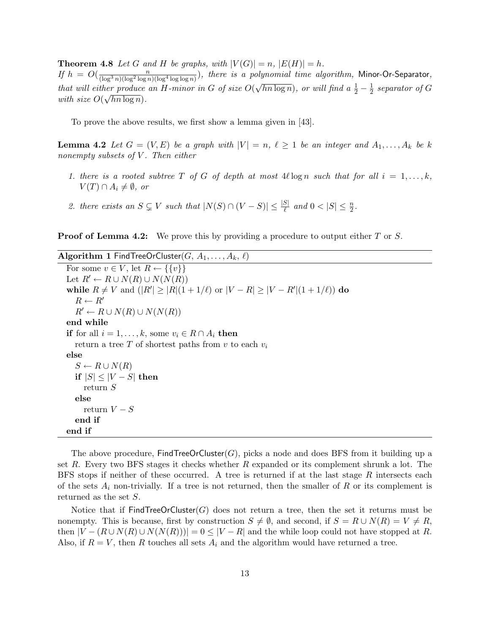**Theorem 4.8** Let G and H be graphs, with  $|V(G)| = n$ ,  $|E(H)| = h$ . If  $h = O(\frac{n}{(\log^3 n)(\log^2 \log n)(\log^4 \log \log n)})$ , there is a polynomial time algorithm, Minor-Or-Separator, that will either produce an H-minor in G of size  $O(\sqrt{hn \log n})$ , or will find  $a \frac{1}{2} - \frac{1}{2}$ √ ner produce an H-minor in G of size  $O(\sqrt{hn \log n})$ , or will find a  $\frac{1}{2} - \frac{1}{2}$  separator of G with size  $O(\sqrt{hn \log n})$ .

To prove the above results, we first show a lemma given in [43].

**Lemma 4.2** Let  $G = (V, E)$  be a graph with  $|V| = n, \ell \ge 1$  be an integer and  $A_1, \ldots, A_k$  be k nonempty subsets of  $V$ . Then either

- 1. there is a rooted subtree T of G of depth at most  $4\ell \log n$  such that for all  $i = 1, \ldots, k$ ,  $V(T) \cap A_i \neq \emptyset$ , or
- 2. there exists an  $S \subsetneq V$  such that  $|N(S) \cap (V S)| \leq \frac{|S|}{\ell}$  and  $0 < |S| \leq \frac{n}{2}$ .

**Proof of Lemma 4.2:** We prove this by providing a procedure to output either T or S.

Algorithm 1 FindTreeOrCluster(G,  $A_1, \ldots, A_k, \ell$ ) For some  $v \in V$ , let  $R \leftarrow \{\{v\}\}\$ Let  $R' \leftarrow R \cup N(R) \cup N(N(R))$ while  $R \neq V$  and  $(|R'| \geq |R|(1 + 1/\ell)$  or  $|V - R| \geq |V - R'|(1 + 1/\ell)$  do  $R \leftarrow R'$  $R' \leftarrow R \cup N(R) \cup N(N(R))$ end while if for all  $i = 1, \ldots, k$ , some  $v_i \in R \cap A_i$  then return a tree T of shortest paths from v to each  $v_i$ else  $S \leftarrow R \cup N(R)$ if  $|S| \leq |V - S|$  then return S else return  $V-S$ end if end if

The above procedure,  $\text{FindTreeOrCluster}(G)$ , picks a node and does BFS from it building up a set  $R$ . Every two BFS stages it checks whether  $R$  expanded or its complement shrunk a lot. The BFS stops if neither of these occurred. A tree is returned if at the last stage R intersects each of the sets  $A_i$  non-trivially. If a tree is not returned, then the smaller of R or its complement is returned as the set S.

Notice that if  $\mathsf{FindTreeOrCluster}(G)$  does not return a tree, then the set it returns must be nonempty. This is because, first by construction  $S \neq \emptyset$ , and second, if  $S = R \cup N(R) = V \neq R$ , then  $|V - (R \cup N(R) \cup N(N(R)))| = 0 \leq |V - R|$  and the while loop could not have stopped at R. Also, if  $R = V$ , then R touches all sets  $A_i$  and the algorithm would have returned a tree.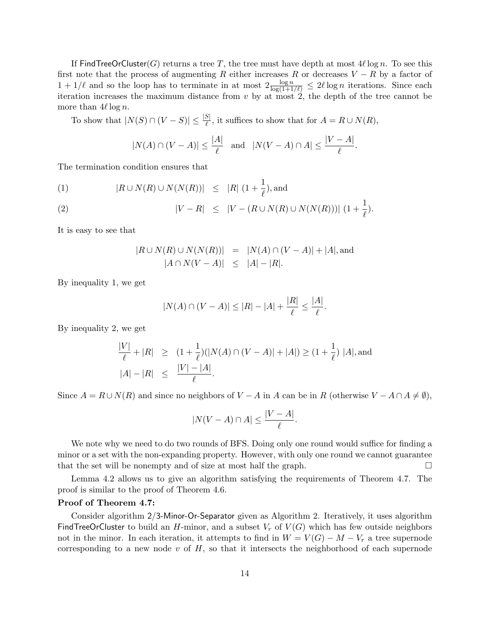If FindTreeOrCluster(G) returns a tree T, the tree must have depth at most  $4\ell \log n$ . To see this first note that the process of augmenting R either increases R or decreases  $V - R$  by a factor of  $1 + 1/\ell$  and so the loop has to terminate in at most  $2 \frac{\log n}{\log(1+1/\ell)} \leq 2\ell \log n$  iterations. Since each iteration increases the maximum distance from  $v$  by at most  $2$ , the depth of the tree cannot be more than  $4\ell \log n$ .

To show that  $|N(S) \cap (V - S)| \leq \frac{|S|}{\ell}$ , it suffices to show that for  $A = R \cup N(R)$ ,

$$
|N(A) \cap (V - A)| \le \frac{|A|}{\ell} \quad \text{and} \quad |N(V - A) \cap A| \le \frac{|V - A|}{\ell}.
$$

The termination condition ensures that

(1) 
$$
|R \cup N(R) \cup N(N(R))| \leq |R| (1 + \frac{1}{\ell}),
$$
 and

(2) 
$$
|V - R| \leq |V - (R \cup N(R) \cup N(N(R)))| (1 + \frac{1}{\ell}).
$$

It is easy to see that

$$
|R \cup N(R) \cup N(N(R))|
$$
 =  $|N(A) \cap (V - A)| + |A|$ , and  
 $|A \cap N(V - A)| \le |A| - |R|$ .

By inequality 1, we get

$$
|N(A) \cap (V - A)| \le |R| - |A| + \frac{|R|}{\ell} \le \frac{|A|}{\ell}
$$

.

.

By inequality 2, we get

$$
\frac{|V|}{\ell} + |R| \ge (1 + \frac{1}{\ell})(|N(A) \cap (V - A)| + |A|) \ge (1 + \frac{1}{\ell}) |A|, \text{and}
$$
  

$$
|A| - |R| \le \frac{|V| - |A|}{\ell}.
$$

Since  $A = R \cup N(R)$  and since no neighbors of  $V - A$  in A can be in R (otherwise  $V - A \cap A \neq \emptyset$ ),

$$
|N(V-A) \cap A| \le \frac{|V-A|}{\ell}
$$

We note why we need to do two rounds of BFS. Doing only one round would suffice for finding a minor or a set with the non-expanding property. However, with only one round we cannot guarantee that the set will be nonempty and of size at most half the graph.  $\Box$ 

Lemma 4.2 allows us to give an algorithm satisfying the requirements of Theorem 4.7. The proof is similar to the proof of Theorem 4.6.

#### Proof of Theorem 4.7:

Consider algorithm 2/3-Minor-Or-Separator given as Algorithm 2. Iteratively, it uses algorithm FindTreeOrCluster to build an H-minor, and a subset  $V_r$  of  $V(G)$  which has few outside neighbors not in the minor. In each iteration, it attempts to find in  $W = V(G) - M - V_r$  a tree supernode corresponding to a new node  $v$  of  $H$ , so that it intersects the neighborhood of each supernode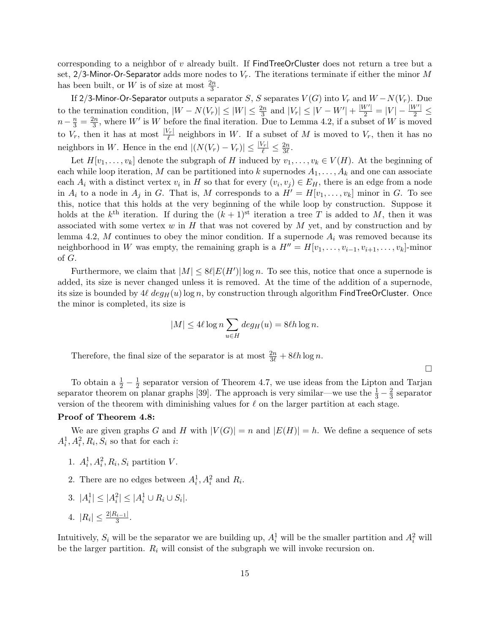corresponding to a neighbor of v already built. If FindTreeOrCluster does not return a tree but a set, 2/3-Minor-Or-Separator adds more nodes to  $V_r$ . The iterations terminate if either the minor M has been built, or W is of size at most  $\frac{2n}{3}$ .

If 2/3-Minor-Or-Separator outputs a separator  $S,$   $S$  separates  $V(G)$  into  $V_r$  and  $W-N(V_r).$  Due to the termination condition,  $|W - N(V_r)| \leq |W| \leq \frac{2n}{3}$  and  $|V_r| \leq |V - W'| + \frac{|W'|}{2} = |V| - \frac{|W'|}{2} \leq$  $n-\frac{n}{3}=\frac{2n}{3}$  $\frac{2n}{3}$ , where W' is W before the final iteration. Due to Lemma 4.2, if a subset of W is moved to  $V_r$ , then it has at most  $\frac{|V_r|}{\ell}$  neighbors in W. If a subset of M is moved to  $V_r$ , then it has no neighbors in W. Hence in the end  $|(N(V_r) - V_r)| \leq \frac{|V_r|}{\ell} \leq \frac{2n}{3\ell}$  $\frac{2n}{3\ell}$  .

Let  $H[v_1, \ldots, v_k]$  denote the subgraph of H induced by  $v_1, \ldots, v_k \in V(H)$ . At the beginning of each while loop iteration, M can be partitioned into k supernodes  $A_1, \ldots, A_k$  and one can associate each  $A_i$  with a distinct vertex  $v_i$  in H so that for every  $(v_i, v_j) \in E_H$ , there is an edge from a node in  $A_i$  to a node in  $A_j$  in G. That is, M corresponds to a  $H' = H[v_1, \ldots, v_k]$  minor in G. To see this, notice that this holds at the very beginning of the while loop by construction. Suppose it holds at the  $k^{\text{th}}$  iteration. If during the  $(k+1)^{\text{st}}$  iteration a tree T is added to M, then it was associated with some vertex  $w$  in  $H$  that was not covered by  $M$  yet, and by construction and by lemma 4.2, M continues to obey the minor condition. If a supernode  $A_i$  was removed because its neighborhood in W was empty, the remaining graph is a  $H'' = H[v_1, \ldots, v_{i-1}, v_{i+1}, \ldots, v_k]$ -minor of G.

Furthermore, we claim that  $|M| \leq 8\ell |E(H')| \log n$ . To see this, notice that once a supernode is added, its size is never changed unless it is removed. At the time of the addition of a supernode, its size is bounded by  $4\ell$  deg<sub>H</sub>(u) log n, by construction through algorithm FindTreeOrCluster. Once the minor is completed, its size is

$$
|M| \le 4\ell \log n \sum_{u \in H} deg_H(u) = 8\ell h \log n.
$$

Therefore, the final size of the separator is at most  $\frac{2n}{3\ell} + 8\ell h \log n$ .

To obtain a  $\frac{1}{2} - \frac{1}{2}$  $\frac{1}{2}$  separator version of Theorem 4.7, we use ideas from the Lipton and Tarjan separator theorem on planar graphs [39]. The approach is very similar—we use the  $\frac{1}{3} - \frac{2}{3}$  $\frac{2}{3}$  separator version of the theorem with diminishing values for  $\ell$  on the larger partition at each stage.

 $\Box$ 

# Proof of Theorem 4.8:

We are given graphs G and H with  $|V(G)| = n$  and  $|E(H)| = h$ . We define a sequence of sets  $A_i^1, A_i^2, R_i, S_i$  so that for each *i*:

- 1.  $A_i^1, A_i^2, R_i, S_i$  partition V.
- 2. There are no edges between  $A_i^1, A_i^2$  and  $R_i$ .

3. 
$$
|A_i^1| \leq |A_i^2| \leq |A_i^1 \cup R_i \cup S_i|
$$
.

4. 
$$
|R_i| \leq \frac{2|R_{i-1}|}{3}
$$
.

Intuitively,  $S_i$  will be the separator we are building up,  $A_i^1$  will be the smaller partition and  $A_i^2$  will be the larger partition.  $R_i$  will consist of the subgraph we will invoke recursion on.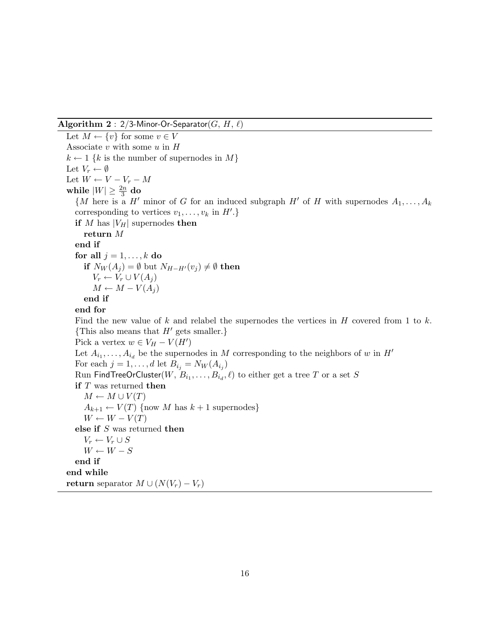# Algorithm  $2: 2/3$ -Minor-Or-Separator(G, H,  $\ell$ )

Let  $M \leftarrow \{v\}$  for some  $v \in V$ Associate  $v$  with some  $u$  in  $H$  $k \leftarrow 1$  {k is the number of supernodes in M} Let  $V_r \leftarrow \emptyset$ Let  $W \leftarrow V - V_r - M$ while  $|W|\geq \frac{2n}{3}$  do  $\{M \text{ here is a } H' \text{ minor of } G \text{ for an induced subgraph } H' \text{ of } H \text{ with supernodes } A_1, \ldots, A_k\}$ corresponding to vertices  $v_1, \ldots, v_k$  in  $H'$ .} if M has  $|V_H|$  supernodes then return  $\cal M$ end if for all  $j = 1, \ldots, k$  do if  $N_W(A_i) = \emptyset$  but  $N_{H-H'}(v_i) \neq \emptyset$  then  $V_r \leftarrow V_r \cup V(A_i)$  $M \leftarrow M - V(A_i)$ end if end for Find the new value of k and relabel the supernodes the vertices in  $H$  covered from 1 to k. {This also means that  $H'$  gets smaller.} Pick a vertex  $w \in V_H - V(H')$ Let  $A_{i_1}, \ldots, A_{i_d}$  be the supernodes in M corresponding to the neighbors of w in  $H'$ For each  $j = 1, \ldots, d$  let  $B_{i_j} = N_W(A_{i_j})$  $\operatorname{Run}$  FindTreeOrCluster $(W,\,B_{i_1},\ldots,B_{i_d},\ell)$  to either get a tree  $T$  or a set  $S$ if  $T$  was returned then  $M \leftarrow M \cup V(T)$  $A_{k+1} \leftarrow V(T)$  {now M has  $k+1$  supernodes}  $W \leftarrow W - V(T)$ else if  $S$  was returned then  $V_r \leftarrow V_r \cup S$  $W \leftarrow W - S$ end if end while return separator  $M \cup (N(V_r) - V_r)$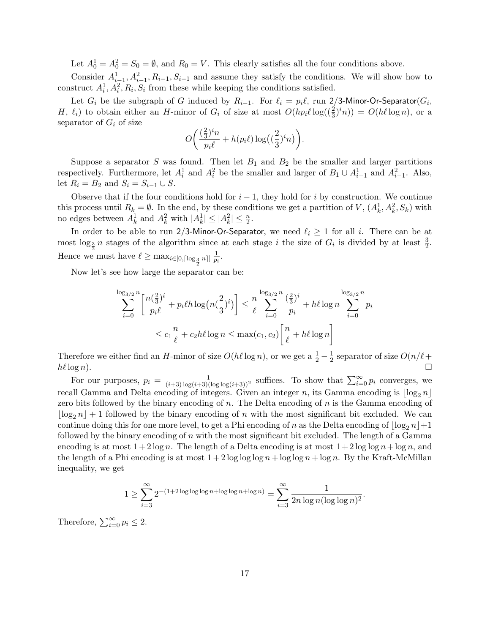Let  $A_0^1 = A_0^2 = S_0 = \emptyset$ , and  $R_0 = V$ . This clearly satisfies all the four conditions above.

Consider  $A_{i-1}^1, A_{i-1}^2, B_{i-1}, S_{i-1}$  and assume they satisfy the conditions. We will show how to construct  $A_i^1, A_i^2, R_i, S_i$  from these while keeping the conditions satisfied.

Let  $G_i$  be the subgraph of G induced by  $R_{i-1}$ . For  $\ell_i = p_i \ell$ , run 2/3-Minor-Or-Separator( $G_i$ , H,  $\ell_i$ ) to obtain either an H-minor of  $G_i$  of size at most  $O(h p_i \ell \log((\frac{2}{3})^i n)) = O(h \ell \log n)$ , or a separator of  $G_i$  of size  $\overline{a}$  $\mathbf{r}$ 

$$
O\bigg(\frac{(\frac{2}{3})^i n}{p_i \ell} + h(p_i \ell) \log\left(\left(\frac{2}{3}\right)^i n\right)\bigg).
$$

Suppose a separator S was found. Then let  $B_1$  and  $B_2$  be the smaller and larger partitions respectively. Furthermore, let  $A_i^1$  and  $A_i^2$  be the smaller and larger of  $B_1 \cup A_{i-1}^1$  and  $A_{i-1}^2$ . Also, let  $R_i = B_2$  and  $S_i = S_{i-1} \cup S$ .

Observe that if the four conditions hold for  $i-1$ , they hold for i by construction. We continue this process until  $R_k = \emptyset$ . In the end, by these conditions we get a partition of V,  $(A_k^1, A_k^2, S_k)$  with no edges between  $A_k^1$  and  $A_k^2$  with  $|A_k^1| \leq |A_k^2| \leq \frac{n}{2}$ .

In order to be able to run 2/3-Minor-Or-Separator, we need  $\ell_i \geq 1$  for all i. There can be at most  $\log_{\frac{3}{2}} n$  stages of the algorithm since at each stage i the size of  $G_i$  is divided by at least  $\frac{3}{2}$ . Hence we must have  $\ell \ge \max_{i \in [0, \lceil \log_{\frac{3}{2}} n \rceil]} \frac{1}{p_i}$  $\frac{1}{p_i}.$ 

Now let's see how large the separator can be:

 $\log$ 

$$
\sum_{i=0}^{\log_{3/2} n} \left[ \frac{n(\frac{2}{3})^i}{p_i \ell} + p_i \ell h \log(n(\frac{2}{3})^i) \right] \le \frac{n}{\ell} \sum_{i=0}^{\log_{3/2} n} \frac{(\frac{2}{3})^i}{p_i} + h \ell \log n \sum_{i=0}^{\log_{3/2} n} p_i
$$
  

$$
\le c_1 \frac{n}{\ell} + c_2 h \ell \log n \le \max(c_1, c_2) \left[ \frac{n}{\ell} + h \ell \log n \right]
$$

Therefore we either find an H-minor of size  $O(h\ell \log n)$ , or we get a  $\frac{1}{2} - \frac{1}{2}$  $\frac{1}{2}$  separator of size  $O(n/\ell +$  $h\ell\log n$ ).

For our purposes,  $p_i = \frac{1}{(i+3)\log(i+3)(\log\log(i+3))^2}$  suffices. To show that  $\sum_{i=0}^{\infty} p_i$  converges, we recall Gamma and Delta encoding of integers. Given an integer n, its Gamma encoding is  $\log_2 n$ zero bits followed by the binary encoding of n. The Delta encoding of  $n$  is the Gamma encoding of  $\log_2 n$  + 1 followed by the binary encoding of n with the most significant bit excluded. We can continue doing this for one more level, to get a Phi encoding of n as the Delta encoding of  $\log_2 n$  +1 followed by the binary encoding of  $n$  with the most significant bit excluded. The length of a Gamma encoding is at most  $1+2\log n$ . The length of a Delta encoding is at most  $1+2\log \log n + \log n$ , and the length of a Phi encoding is at most  $1+2\log\log\log n+\log\log n+\log n$ . By the Kraft-McMillan inequality, we get

$$
1 \ge \sum_{i=3}^{\infty} 2^{-(1+2\log\log\log n + \log\log n + \log n)} = \sum_{i=3}^{\infty} \frac{1}{2n \log n (\log\log n)^2}.
$$

Therefore,  $\sum_{i=0}^{\infty} p_i \leq 2$ .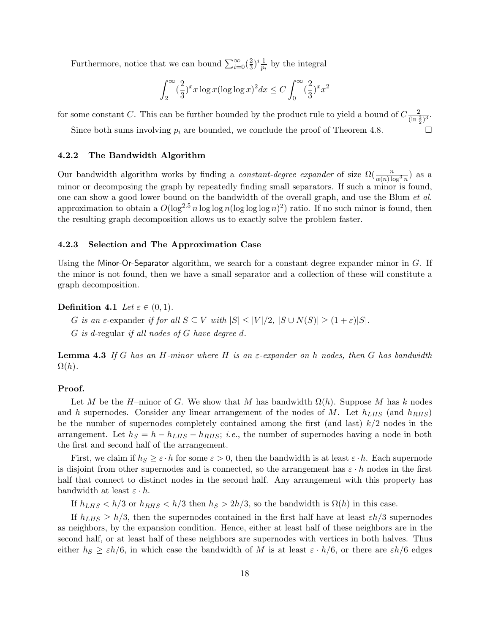Furthermore, notice that we can bound  $\sum_{i=0}^{\infty}$  ( $\frac{2}{3}$ )  $(\frac{2}{3})^i \frac{1}{p_i}$  $\frac{1}{p_i}$  by the integral

$$
\int_2^{\infty} (\frac{2}{3})^x x \log x (\log \log x)^2 dx \le C \int_0^{\infty} (\frac{2}{3})^x x^2
$$

for some constant C. This can be further bounded by the product rule to yield a bound of  $C\frac{2}{(\ln\frac{3}{2})^3}$ .

Since both sums involving  $p_i$  are bounded, we conclude the proof of Theorem 4.8.

#### 4.2.2 The Bandwidth Algorithm

Our bandwidth algorithm works by finding a *constant-degree expander* of size  $\Omega(\frac{n}{\alpha(n)\log^3 n})$  as a minor or decomposing the graph by repeatedly finding small separators. If such a minor is found, one can show a good lower bound on the bandwidth of the overall graph, and use the Blum et al. approximation to obtain a  $O(\log^{2.5} n \log \log n (\log \log \log n)^2)$  ratio. If no such minor is found, then the resulting graph decomposition allows us to exactly solve the problem faster.

#### 4.2.3 Selection and The Approximation Case

Using the Minor-Or-Separator algorithm, we search for a constant degree expander minor in  $G$ . If the minor is not found, then we have a small separator and a collection of these will constitute a graph decomposition.

# Definition 4.1 Let  $\varepsilon \in (0,1)$ .

G is an  $\varepsilon$ -expander if for all  $S \subseteq V$  with  $|S| \leq |V|/2$ ,  $|S \cup N(S)| \geq (1+\varepsilon)|S|$ .

G is d-regular if all nodes of G have degree d.

**Lemma 4.3** If G has an H-minor where H is an  $\varepsilon$ -expander on h nodes, then G has bandwidth  $\Omega(h)$ .

### Proof.

Let M be the H–minor of G. We show that M has bandwidth  $\Omega(h)$ . Suppose M has k nodes and h supernodes. Consider any linear arrangement of the nodes of M. Let  $h_{LHS}$  (and  $h_{RHS}$ ) be the number of supernodes completely contained among the first (and last)  $k/2$  nodes in the arrangement. Let  $h_S = h - h_{LHS} - h_{RHS}$ ; *i.e.*, the number of supernodes having a node in both the first and second half of the arrangement.

First, we claim if  $h_S \geq \varepsilon \cdot h$  for some  $\varepsilon > 0$ , then the bandwidth is at least  $\varepsilon \cdot h$ . Each supernode is disjoint from other supernodes and is connected, so the arrangement has  $\varepsilon \cdot h$  nodes in the first half that connect to distinct nodes in the second half. Any arrangement with this property has bandwidth at least  $\varepsilon \cdot h$ .

If  $h_{LHS} < h/3$  or  $h_{RHS} < h/3$  then  $h_S > 2h/3$ , so the bandwidth is  $\Omega(h)$  in this case.

If  $h_{LHS} \geq h/3$ , then the supernodes contained in the first half have at least  $\varepsilon h/3$  supernodes as neighbors, by the expansion condition. Hence, either at least half of these neighbors are in the second half, or at least half of these neighbors are supernodes with vertices in both halves. Thus either  $h_S \geq \varepsilon h/6$ , in which case the bandwidth of M is at least  $\varepsilon \cdot h/6$ , or there are  $\varepsilon h/6$  edges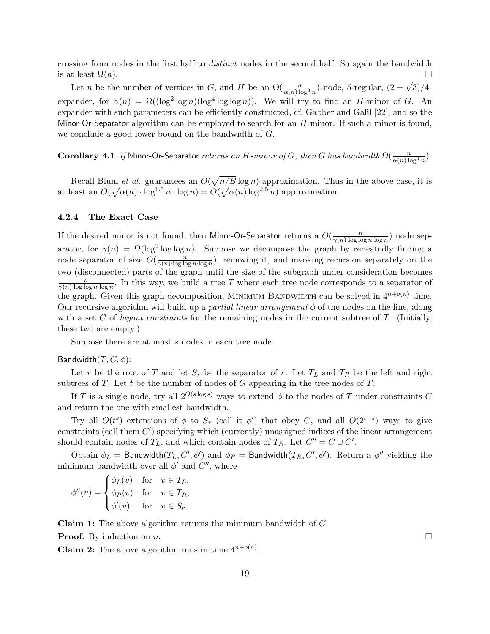crossing from nodes in the first half to distinct nodes in the second half. So again the bandwidth is at least  $\Omega(h)$ .

Let *n* be the number of vertices in G, and H be an  $\Theta(\frac{n}{\alpha(n)\log^3 n})$ -node, 5-regular,  $(2 -$ √ 3)/4 expander, for  $\alpha(n) = \Omega((\log^2 \log n)(\log^4 \log \log n))$ . We will try to find an H-minor of G. An expander with such parameters can be efficiently constructed, cf. Gabber and Galil [22], and so the Minor-Or-Separator algorithm can be employed to search for an  $H$ -minor. If such a minor is found, we conclude a good lower bound on the bandwidth of G.

Corollary 4.1 If Minor-Or-Separator returns an H-minor of G, then G has bandwidth  $\Omega(\frac{n}{\alpha(n)\log^3 n})$ .

Recall Blum *et al.* guarantees an  $O($ p m et al. guarantees an  $O(\sqrt{n/B \log n})$ -approximation. Thus in the above case, it is at least an  $O(\sqrt{\alpha(n)} \cdot \log^{1.5} n \cdot \log n) = O(\sqrt{\alpha(n)} \log^{2.5} n)$  approximation.

#### 4.2.4 The Exact Case

If the desired minor is not found, then Minor-Or-Separator returns a  $O(\frac{n}{\sigma(n)\log\log n})$  $\frac{n}{\gamma(n) \cdot \log \log n \cdot \log n}$  node separator, for  $\gamma(n) = \Omega(\log^2 \log \log n)$ . Suppose we decompose the graph by repeatedly finding a node separator of size  $O(\frac{n}{\gamma(n)\log n})$  $\frac{n}{\gamma(n) \cdot \log \log n \cdot \log n}$ , removing it, and invoking recursion separately on the two (disconnected) parts of the graph until the size of the subgraph under consideration becomes n  $\frac{n}{\gamma(n) \cdot \log \log n \cdot \log n}$ . In this way, we build a tree T where each tree node corresponds to a separator of the graph. Given this graph decomposition, MINIMUM BANDWIDTH can be solved in  $4^{n+o(n)}$  time. Our recursive algorithm will build up a *partial linear arrangement*  $\phi$  of the nodes on the line, along with a set C of *layout constraints* for the remaining nodes in the current subtree of T. (Initially, these two are empty.)

Suppose there are at most s nodes in each tree node.

#### Bandwidth $(T, C, \phi)$ :

Let r be the root of T and let  $S_r$  be the separator of r. Let  $T_L$  and  $T_R$  be the left and right subtrees of  $T$ . Let  $t$  be the number of nodes of  $G$  appearing in the tree nodes of  $T$ .

If T is a single node, try all  $2^{O(s \log s)}$  ways to extend  $\phi$  to the nodes of T under constraints C and return the one with smallest bandwidth.

Try all  $O(t^s)$  extensions of  $\phi$  to  $S_r$  (call it  $\phi'$ ) that obey C, and all  $O(2^{t-s})$  ways to give  $\alpha$  constraints (call them  $C'$ ) specifying which (currently) unassigned indices of the linear arrangement should contain nodes of  $T_L$ , and which contain nodes of  $T_R$ . Let  $C'' = C \cup C'$ .

Obtain  $\phi_L =$  Bandwidth $(T_L, C', \phi')$  and  $\phi_R =$  Bandwidth $(T_R, C', \phi')$ . Return a  $\phi''$  yielding the minimum bandwidth over all  $\phi'$  and  $C''$ , where

$$
\phi''(v) = \begin{cases} \phi_L(v) & \text{for} \quad v \in T_L, \\ \phi_R(v) & \text{for} \quad v \in T_R, \\ \phi'(v) & \text{for} \quad v \in S_r. \end{cases}
$$

Claim 1: The above algorithm returns the minimum bandwidth of G.

**Proof.** By induction on *n*.

**Claim 2:** The above algorithm runs in time  $4^{n+o(n)}$ .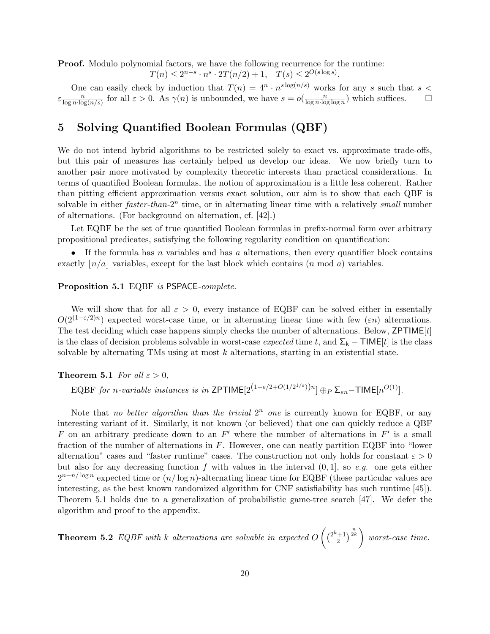Proof. Modulo polynomial factors, we have the following recurrence for the runtime:

 $T(n) \leq 2^{n-s} \cdot n^s \cdot 2T(n/2) + 1, \quad T(s) \leq 2^{O(s \log s)}$ .

One can easily check by induction that  $T(n) = 4^n \cdot n^{s \log(n/s)}$  works for any s such that s <  $\epsilon \frac{n}{\log n \cdot \log n}$  $\frac{n}{\log n \cdot \log(n/s)}$  for all  $\varepsilon > 0$ . As  $\gamma(n)$  is unbounded, we have  $s = o(\frac{n}{\log n \cdot \log(n/s)})$  $\frac{n}{\log n \cdot \log \log n}$  which suffices.  $\Box$ 

# 5 Solving Quantified Boolean Formulas (QBF)

We do not intend hybrid algorithms to be restricted solely to exact vs. approximate trade-offs, but this pair of measures has certainly helped us develop our ideas. We now briefly turn to another pair more motivated by complexity theoretic interests than practical considerations. In terms of quantified Boolean formulas, the notion of approximation is a little less coherent. Rather than pitting efficient approximation versus exact solution, our aim is to show that each QBF is solvable in either  $faster\text{-}than\text{-}2^n$  time, or in alternating linear time with a relatively small number of alternations. (For background on alternation, cf. [42].)

Let EQBF be the set of true quantified Boolean formulas in prefix-normal form over arbitrary propositional predicates, satisfying the following regularity condition on quantification:

• If the formula has n variables and has a alternations, then every quantifier block contains exactly  $n/a$  variables, except for the last block which contains (n mod a) variables.

#### Proposition 5.1 EQBF is PSPACE-complete.

We will show that for all  $\varepsilon > 0$ , every instance of EQBF can be solved either in essentally  $O(2^{(1-\varepsilon/2)n})$  expected worst-case time, or in alternating linear time with few  $(\varepsilon n)$  alternations. The test deciding which case happens simply checks the number of alternations. Below,  $ZPTIME[t]$ is the class of decision problems solvable in worst-case *expected* time t, and  $\Sigma_k - \text{TIME}[t]$  is the class solvable by alternating TMs using at most  $k$  alternations, starting in an existential state.

# **Theorem 5.1** For all  $\varepsilon > 0$ ,

EQBF for n-variable instances is in ZPTIME $[2^{(1-\varepsilon/2+O(1/2^{1/\varepsilon}))n}] \oplus_P \Sigma_{\varepsilon n}$ -TIME $[n^{O(1)}]$ .

Note that no better algorithm than the trivial  $2^n$  one is currently known for EQBF, or any interesting variant of it. Similarly, it not known (or believed) that one can quickly reduce a QBF F on an arbitrary predicate down to an  $F'$  where the number of alternations in  $F'$  is a small fraction of the number of alternations in  $F$ . However, one can neatly partition EQBF into "lower alternation" cases and "faster runtime" cases. The construction not only holds for constant  $\varepsilon > 0$ but also for any decreasing function f with values in the interval  $(0, 1]$ , so e.g. one gets either  $2^{n-n/\log n}$  expected time or  $(n/\log n)$ -alternating linear time for EQBF (these particular values are interesting, as the best known randomized algorithm for CNF satisfiability has such runtime [45]). Theorem 5.1 holds due to a generalization of probabilistic game-tree search [47]. We defer the algorithm and proof to the appendix.

**Theorem 5.2** EQBF with  $k$  alternations are solvable in expected  $O$  $(2^k+1)$ 2  $\sqrt{\frac{n}{2k}}$  $\mathbf{r}$ worst-case time.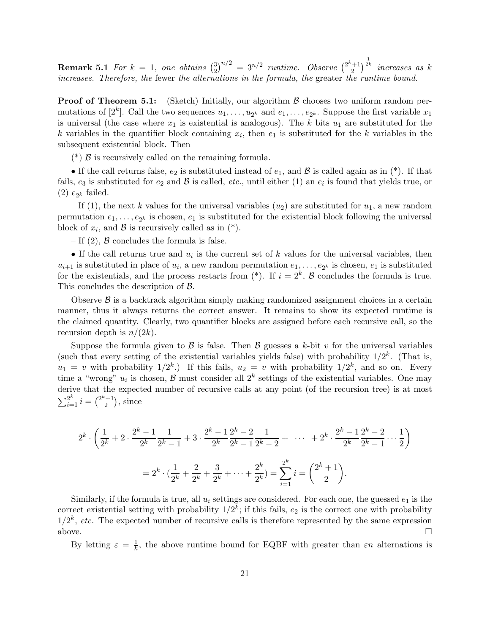**Remark 5.1** For  $k = 1$ , one obtains  $\begin{pmatrix} 3 \\ 2 \end{pmatrix}$ 2  $\big)^{n/2} = 3^{n/2}$  runtime. Observe  $\big(\frac{2^k+1}{2}\big)$ 2  $\big)^{\frac{1}{2k}}$  increases as k increases. Therefore, the fewer the alternations in the formula, the greater the runtime bound.

**Proof of Theorem 5.1:** (Sketch) Initially, our algorithm  $\beta$  chooses two uniform random permutations of  $[2^k]$ . Call the two sequences  $u_1, \ldots, u_{2^k}$  and  $e_1, \ldots, e_{2^k}$ . Suppose the first variable  $x_1$ is universal (the case where  $x_1$  is existential is analogous). The k bits  $u_1$  are substituted for the k variables in the quantifier block containing  $x_i$ , then  $e_1$  is substituted for the k variables in the subsequent existential block. Then

(\*)  $\beta$  is recursively called on the remaining formula.

• If the call returns false,  $e_2$  is substituted instead of  $e_1$ , and  $\beta$  is called again as in (\*). If that fails,  $e_3$  is substituted for  $e_2$  and  $\beta$  is called,  $etc.$ , until either (1) an  $e_i$  is found that yields true, or  $(2) e_{2^k}$  failed.

– If (1), the next k values for the universal variables  $(u_2)$  are substituted for  $u_1$ , a new random permutation  $e_1, \ldots, e_{2^k}$  is chosen,  $e_1$  is substituted for the existential block following the universal block of  $x_i$ , and  $\beta$  is recursively called as in  $(*)$ .

– If  $(2)$ ,  $\beta$  concludes the formula is false.

• If the call returns true and  $u_i$  is the current set of k values for the universal variables, then  $u_{i+1}$  is substituted in place of  $u_i$ , a new random permutation  $e_1, \ldots, e_{2^k}$  is chosen,  $e_1$  is substituted for the existentials, and the process restarts from  $(*)$ . If  $i = 2<sup>k</sup>$ ,  $\beta$  concludes the formula is true. This concludes the description of B.

Observe  $\beta$  is a backtrack algorithm simply making randomized assignment choices in a certain manner, thus it always returns the correct answer. It remains to show its expected runtime is the claimed quantity. Clearly, two quantifier blocks are assigned before each recursive call, so the recursion depth is  $n/(2k)$ .

Suppose the formula given to  $\beta$  is false. Then  $\beta$  guesses a k-bit v for the universal variables (such that every setting of the existential variables yields false) with probability  $1/2^k$ . (That is,  $u_1 = v$  with probability  $1/2^k$ .) If this fails,  $u_2 = v$  with probability  $1/2^k$ , and so on. Every time a "wrong"  $u_i$  is chosen,  $\mathcal{B}$  must consider all  $2^k$  settings of the existential variables. One may derive that the expected number of recursive calls at any point (of the recursion tree) is at most  $\sum_{i=1}^{2^k} i =$  $e^{i(n+1)}$ 2  $\tilde{\mathcal{L}}$ , since

$$
2^{k} \cdot \left(\frac{1}{2^{k}} + 2 \cdot \frac{2^{k} - 1}{2^{k}} \frac{1}{2^{k} - 1} + 3 \cdot \frac{2^{k} - 1}{2^{k}} \frac{2^{k} - 2}{2^{k} - 1} \frac{1}{2^{k} - 2} + \cdots + 2^{k} \cdot \frac{2^{k} - 1}{2^{k}} \frac{2^{k} - 2}{2^{k} - 1} \cdots \frac{1}{2}\right)
$$

$$
= 2^{k} \cdot \left(\frac{1}{2^{k}} + \frac{2}{2^{k}} + \frac{3}{2^{k}} + \cdots + \frac{2^{k}}{2^{k}}\right) = \sum_{i=1}^{2^{k}} i = \binom{2^{k} + 1}{2}.
$$

Similarly, if the formula is true, all  $u_i$  settings are considered. For each one, the guessed  $e_1$  is the correct existential setting with probability  $1/2^k$ ; if this fails,  $e_2$  is the correct one with probability  $1/2^k$ , etc. The expected number of recursive calls is therefore represented by the same expression above.  $\Box$ 

By letting  $\varepsilon = \frac{1}{k}$  $\frac{1}{k}$ , the above runtime bound for EQBF with greater than  $\varepsilon n$  alternations is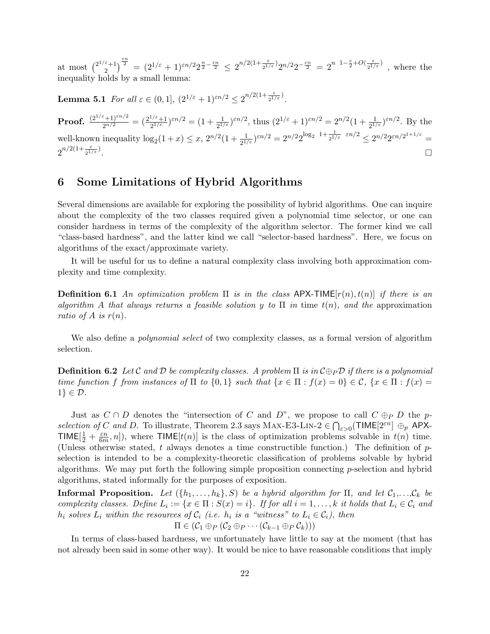at most  $\binom{2^{1/\varepsilon}+1}{2}$ 2  $\int_{0}^{\frac{\varepsilon n}{2}} = (2^{1/\varepsilon} + 1)^{\varepsilon n/2} 2^{\frac{n}{2} - \frac{\varepsilon n}{2}} \leq 2^{n/2(1 + \frac{\varepsilon}{2^{1/\varepsilon}})} 2^{n/2} 2^{-\frac{\varepsilon n}{2}} = 2^{n-1 - \frac{\varepsilon}{2} + O(\frac{\varepsilon}{2^{1/\varepsilon}})}$  $\frac{\varepsilon}{2^{1/\varepsilon}}$ , where the inequality holds by a small lemma:

**Lemma 5.1** For all  $\varepsilon \in (0,1]$ ,  $(2^{1/\varepsilon}+1)^{\varepsilon n/2} \leq 2^{n/2(1+\frac{\varepsilon}{2^{1/\varepsilon}})}$ .

Proof.  $\frac{(2^{1/\varepsilon}+1)^{\varepsilon n/2}}{2^{n/2}}=(\frac{2^{1/\varepsilon}+1}{2^{1/\varepsilon}})$  $\frac{2^{1/\varepsilon}+1}{2^{1/\varepsilon}}$   $\varepsilon^{n/2} = (1 + \frac{1}{2^{1/\varepsilon}}) \varepsilon^{n/2}$ , thus  $(2^{1/\varepsilon} + 1) \varepsilon^{n/2} = 2^{n/2} (1 + \frac{1}{2^{1/\varepsilon}}) \varepsilon^{n/2}$ . By the well-known inequality  $\log_2(1+x) \leq x, 2^{n/2}(1+\frac{1}{2^{1/\varepsilon}})^{\varepsilon n/2} = 2^{n/2}2^{\log_2 1+\frac{1}{2^{1/\varepsilon}}-\varepsilon n/2} \leq 2^{n/2}2^{\varepsilon n/2^{1+1/\varepsilon}}$  $2^{n/2(1+\frac{\varepsilon}{2^{1/\varepsilon}})}$ . The contract of the contract of the contract of the contract of the contract of  $\Box$ 

# 6 Some Limitations of Hybrid Algorithms

Several dimensions are available for exploring the possibility of hybrid algorithms. One can inquire about the complexity of the two classes required given a polynomial time selector, or one can consider hardness in terms of the complexity of the algorithm selector. The former kind we call "class-based hardness", and the latter kind we call "selector-based hardness". Here, we focus on algorithms of the exact/approximate variety.

It will be useful for us to define a natural complexity class involving both approximation complexity and time complexity.

**Definition 6.1** An optimization problem  $\Pi$  is in the class APX-TIME $[r(n), t(n)]$  if there is an algorithm A that always returns a feasible solution y to  $\Pi$  in time  $t(n)$ , and the approximation ratio of A is  $r(n)$ .

We also define a *polynomial select* of two complexity classes, as a formal version of algorithm selection.

**Definition 6.2** Let C and D be complexity classes. A problem  $\Pi$  is in  $C \oplus_P D$  if there is a polynomial time function f from instances of  $\Pi$  to  $\{0,1\}$  such that  $\{x \in \Pi : f(x) = 0\} \in \mathcal{C}$ ,  $\{x \in \Pi : f(x) = 0\}$  $1 \} \in \mathcal{D}$ .

Just as  $C \cap D$  denotes the "intersection of C and D", we propose to call  $C \oplus_P D$  the pselection of C and D. To illustrate, Theorem 2.3 says MAX-E3-LIN-2  $\in \bigcap_{\varepsilon>0}$ (TIME $[2^{\varepsilon n}] \oplus_p$  APX-TIME $[\frac{1}{2}+\frac{\varepsilon n}{6m}$  $\frac{\varepsilon n}{6m}, n$ , where TIME  $[t(n)]$  is the class of optimization problems solvable in  $t(n)$  time. (Unless otherwise stated, t always denotes a time constructible function.) The definition of  $p$ selection is intended to be a complexity-theoretic classification of problems solvable by hybrid algorithms. We may put forth the following simple proposition connecting p-selection and hybrid algorithms, stated informally for the purposes of exposition.

**Informal Proposition.** Let  $(\{h_1, \ldots, h_k\}, S)$  be a hybrid algorithm for  $\Pi$ , and let  $C_1, \ldots, C_k$  be complexity classes. Define  $L_i := \{x \in \Pi : S(x) = i\}$ . If for all  $i = 1, ..., k$  it holds that  $L_i \in \mathcal{C}_i$  and  $h_i$  solves  $L_i$  within the resources of  $\mathcal{C}_i$  (i.e.  $h_i$  is a "witness" to  $L_i \in \mathcal{C}_i$ ), then  $\Pi \in (\mathcal{C}_1 \oplus_P (\mathcal{C}_2 \oplus_P \cdots (\mathcal{C}_{k-1} \oplus_P \mathcal{C}_k)))$ 

In terms of class-based hardness, we unfortunately have little to say at the moment (that has not already been said in some other way). It would be nice to have reasonable conditions that imply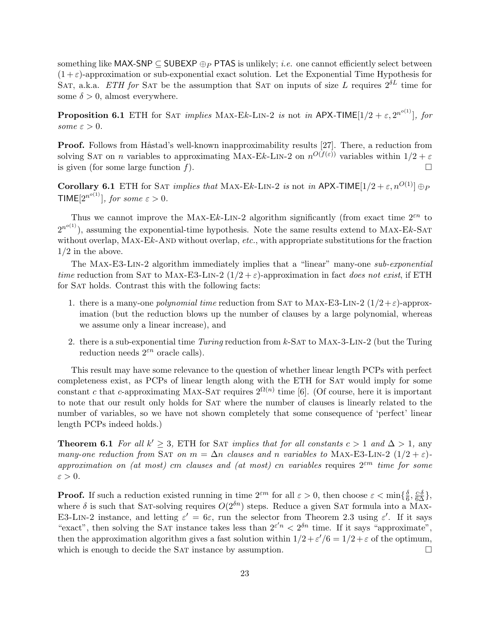something like MAX-SNP  $\subseteq$  SUBEXP  $\oplus_P$  PTAS is unlikely; *i.e.* one cannot efficiently select between  $(1+\varepsilon)$ -approximation or sub-exponential exact solution. Let the Exponential Time Hypothesis for SAT, a.k.a. ETH for SAT be the assumption that SAT on inputs of size L requires  $2^{\delta L}$  time for some  $\delta > 0$ , almost everywhere.

**Proposition 6.1** ETH for SAT *implies* MAX-Ek-LIN-2 *is* not *in* APX-TIME[1/2 +  $\varepsilon$ ,  $2^{n^{o(1)}}$ ], for some  $\varepsilon > 0$ .

**Proof.** Follows from Håstad's well-known inapproximability results [27]. There, a reduction from solving SAT on *n* variables to approximating MAX-Ek-LIN-2 on  $n^{O(f(\varepsilon))}$  variables within  $1/2 + \varepsilon$ is given (for some large function  $f$ ).

Corollary 6.1 ETH for SAT *implies that* MAX-Ek-LIN-2 *is* not *in* APX-TIME[1/2 +  $\varepsilon$ ,  $n^{O(1)}$ ]  $\oplus$   $p$ TIME $[2^{n^{o(1)}}]$ , for some  $\varepsilon > 0$ .

Thus we cannot improve the MAX-Ek-LIN-2 algorithm significantly (from exact time  $2^{\varepsilon n}$  to  $2^{n^{o(1)}}$ ), assuming the exponential-time hypothesis. Note the same results extend to MAX-Ek-SAT without overlap, MAX-Ek-AND without overlap, etc., with appropriate substitutions for the fraction  $1/2$  in the above.

The MAX-E3-LIN-2 algorithm immediately implies that a "linear" many-one sub-exponential time reduction from SAT to MAX-E3-LIN-2  $(1/2 + \varepsilon)$ -approximation in fact does not exist, if ETH for Sat holds. Contrast this with the following facts:

- 1. there is a many-one *polynomial time* reduction from SAT to MAX-E3-LIN-2  $(1/2 + \varepsilon)$ -approximation (but the reduction blows up the number of clauses by a large polynomial, whereas we assume only a linear increase), and
- 2. there is a sub-exponential time  $Turing$  reduction from k-SAT to MAX-3-LIN-2 (but the Turing reduction needs  $2^{\varepsilon n}$  oracle calls).

This result may have some relevance to the question of whether linear length PCPs with perfect completeness exist, as PCPs of linear length along with the ETH for Sat would imply for some constant c that c-approximating MAX-SAT requires  $2^{\Omega(n)}$  time [6]. (Of course, here it is important to note that our result only holds for Sat where the number of clauses is linearly related to the number of variables, so we have not shown completely that some consequence of 'perfect' linear length PCPs indeed holds.)

**Theorem 6.1** For all  $k' \geq 3$ , ETH for SAT implies that for all constants  $c > 1$  and  $\Delta > 1$ , any many-one reduction from SAT on  $m = \Delta n$  clauses and n variables to MAX-E3-LIN-2 (1/2 +  $\varepsilon$ )approximation on (at most) cm clauses and (at most) cn variables requires  $2^{\varepsilon m}$  time for some  $\varepsilon > 0$ .

**Proof.** If such a reduction existed running in time  $2^{\varepsilon m}$  for all  $\varepsilon > 0$ , then choose  $\varepsilon < \min\{\frac{\delta}{6}\}$  $\frac{\delta}{6}, \frac{c \cdot \delta}{6\Delta} \},$ where  $\delta$  is such that SAT-solving requires  $O(2^{\delta n})$  steps. Reduce a given SAT formula into a MAX-E3-LIN-2 instance, and letting  $\varepsilon' = 6\varepsilon$ , run the selector from Theorem 2.3 using  $\varepsilon'$ . If it says "exact", then solving the SAT instance takes less than  $2^{\varepsilon' n} < 2^{\delta n}$  time. If it says "approximate", then the approximation algorithm gives a fast solution within  $1/2 + \varepsilon'/6 = 1/2 + \varepsilon$  of the optimum, which is enough to decide the SAT instance by assumption.  $\Box$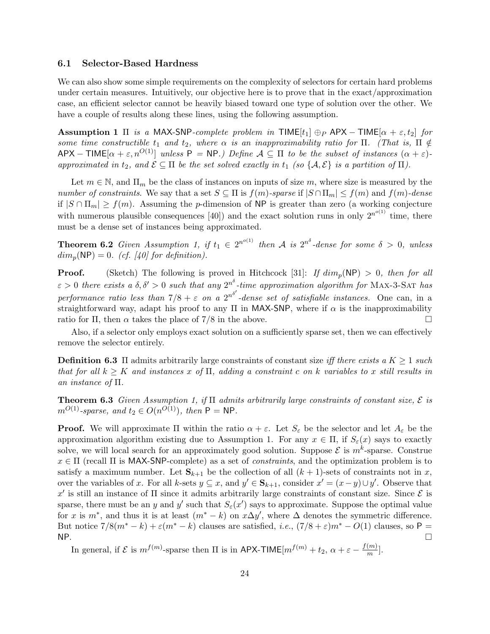# 6.1 Selector-Based Hardness

We can also show some simple requirements on the complexity of selectors for certain hard problems under certain measures. Intuitively, our objective here is to prove that in the exact/approximation case, an efficient selector cannot be heavily biased toward one type of solution over the other. We have a couple of results along these lines, using the following assumption.

**Assumption 1** Π is a MAX-SNP-complete problem in TIME[t<sub>1</sub>]  $\oplus$  APX – TIME[ $\alpha + \varepsilon$ , t<sub>2</sub>] for some time constructible  $t_1$  and  $t_2$ , where  $\alpha$  is an inapproximability ratio for  $\Pi$ . (That is,  $\Pi \notin$  $APX - TIME[\alpha + \varepsilon, n^{O(1)}]$  unless  $P = NP$ .) Define  $A \subseteq \Pi$  to be the subset of instances  $(\alpha + \varepsilon)$ approximated in  $t_2$ , and  $\mathcal{E} \subseteq \Pi$  be the set solved exactly in  $t_1$  (so  $\{\mathcal{A}, \mathcal{E}\}\$ is a partition of  $\Pi$ ).

Let  $m \in \mathbb{N}$ , and  $\Pi_m$  be the class of instances on inputs of size m, where size is measured by the number of constraints. We say that a set  $S \subseteq \Pi$  is  $f(m)$ -sparse if  $|S \cap \Pi_m| \leq f(m)$  and  $f(m)$ -dense if  $|S \cap \Pi_m| \ge f(m)$ . Assuming the *p*-dimension of NP is greater than zero (a working conjecture with numerous plausible consequences [40]) and the exact solution runs in only  $2^{n^{o(1)}}$  time, there must be a dense set of instances being approximated.

**Theorem 6.2** Given Assumption 1, if  $t_1 \in 2^{n^{o(1)}}$  then A is  $2^{n^{\delta}}$ -dense for some  $\delta > 0$ , unless  $dim_p(NP) = 0.$  (cf. [40] for definition).

**Proof.** (Sketch) The following is proved in Hitchcock [31]: If  $dim_p(NP) > 0$ , then for all  $\varepsilon > 0$  there exists a  $\delta, \delta' > 0$  such that any  $2^{n\delta}$ -time approximation algorithm for MAX-3-SAT has performance ratio less than  $7/8 + \varepsilon$  on a  $2^{n^{\delta'}}$ -dense set of satisfiable instances. One can, in a straightforward way, adapt his proof to any  $\Pi$  in MAX-SNP, where if  $\alpha$  is the inapproximability ratio for  $\Pi$ , then  $\alpha$  takes the place of 7/8 in the above.  $\Box$ 

Also, if a selector only employs exact solution on a sufficiently sparse set, then we can effectively remove the selector entirely.

**Definition 6.3**  $\Pi$  admits arbitrarily large constraints of constant size iff there exists a  $K \geq 1$  such that for all  $k > K$  and instances x of  $\Pi$ , adding a constraint c on k variables to x still results in an instance of Π.

**Theorem 6.3** Given Assumption 1, if  $\Pi$  admits arbitrarily large constraints of constant size,  $\mathcal{E}$  is  $m^{O(1)}$ -sparse, and  $t_2 \in O(n^{O(1)})$ , then  $P = NP$ .

**Proof.** We will approximate  $\Pi$  within the ratio  $\alpha + \varepsilon$ . Let  $S_{\varepsilon}$  be the selector and let  $A_{\varepsilon}$  be the approximation algorithm existing due to Assumption 1. For any  $x \in \Pi$ , if  $S_{\varepsilon}(x)$  says to exactly solve, we will local search for an approximately good solution. Suppose  $\mathcal E$  is  $m^k$ -sparse. Construe  $x \in \Pi$  (recall  $\Pi$  is MAX-SNP-complete) as a set of *constraints*, and the optimization problem is to satisfy a maximum number. Let  $S_{k+1}$  be the collection of all  $(k+1)$ -sets of constraints not in x, over the variables of x. For all k-sets  $y \subseteq x$ , and  $y' \in \mathbf{S}_{k+1}$ , consider  $x' = (x - y) \cup y'$ . Observe that x' is still an instance of  $\Pi$  since it admits arbitrarily large constraints of constant size. Since  $\mathcal E$  is sparse, there must be an y and y' such that  $S_{\varepsilon}(x')$  says to approximate. Suppose the optimal value for x is  $m^*$ , and thus it is at least  $(m^* - k)$  on  $x\Delta y'$ , where  $\Delta$  denotes the symmetric difference. But notice  $7/8(m^* - k) + \varepsilon(m^* - k)$  clauses are satisfied, *i.e.*,  $(7/8 + \varepsilon)m^* - O(1)$  clauses, so P =  $NP.$ 

In general, if  $\mathcal E$  is  $m^{f(m)}$ -sparse then  $\Pi$  is in APX-TIME $[m^{f(m)} + t_2, \alpha + \varepsilon - \frac{f(m)}{m}]$  $\frac{(m)}{m}$ .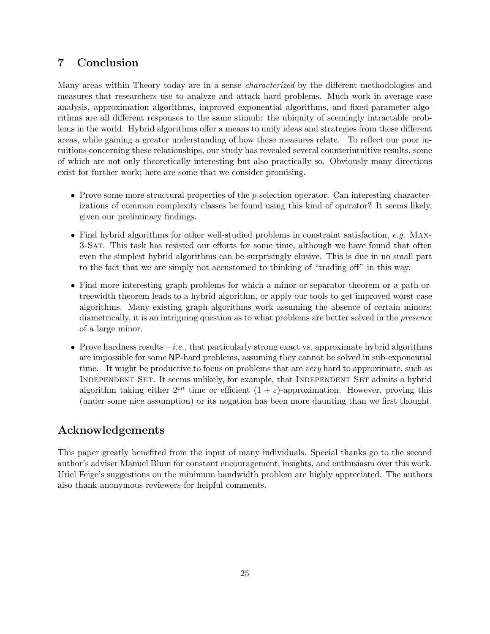# 7 Conclusion

Many areas within Theory today are in a sense *characterized* by the different methodologies and measures that researchers use to analyze and attack hard problems. Much work in average case analysis, approximation algorithms, improved exponential algorithms, and fixed-parameter algorithms are all different responses to the same stimuli: the ubiquity of seemingly intractable problems in the world. Hybrid algorithms offer a means to unify ideas and strategies from these different areas, while gaining a greater understanding of how these measures relate. To reflect our poor intuitions concerning these relationships, our study has revealed several counterintuitive results, some of which are not only theoretically interesting but also practically so. Obviously many directions exist for further work; here are some that we consider promising.

- Prove some more structural properties of the p-selection operator. Can interesting characterizations of common complexity classes be found using this kind of operator? It seems likely, given our preliminary findings.
- Find hybrid algorithms for other well-studied problems in constraint satisfaction, e.g. MAX-3-Sat. This task has resisted our efforts for some time, although we have found that often even the simplest hybrid algorithms can be surprisingly elusive. This is due in no small part to the fact that we are simply not accustomed to thinking of "trading off" in this way.
- Find more interesting graph problems for which a minor-or-separator theorem or a path-ortreewidth theorem leads to a hybrid algorithm, or apply our tools to get improved worst-case algorithms. Many existing graph algorithms work assuming the absence of certain minors; diametrically, it is an intriguing question as to what problems are better solved in the presence of a large minor.
- Prove hardness results—*i.e.*, that particularly strong exact vs. approximate hybrid algorithms are impossible for some NP-hard problems, assuming they cannot be solved in sub-exponential time. It might be productive to focus on problems that are very hard to approximate, such as Independent Set. It seems unlikely, for example, that Independent Set admits a hybrid algorithm taking either  $2^{\varepsilon n}$  time or efficient  $(1 + \varepsilon)$ -approximation. However, proving this (under some nice assumption) or its negation has been more daunting than we first thought.

# Acknowledgements

This paper greatly benefited from the input of many individuals. Special thanks go to the second author's adviser Manuel Blum for constant encouragement, insights, and enthusiasm over this work. Uriel Feige's suggestions on the minimum bandwidth problem are highly appreciated. The authors also thank anonymous reviewers for helpful comments.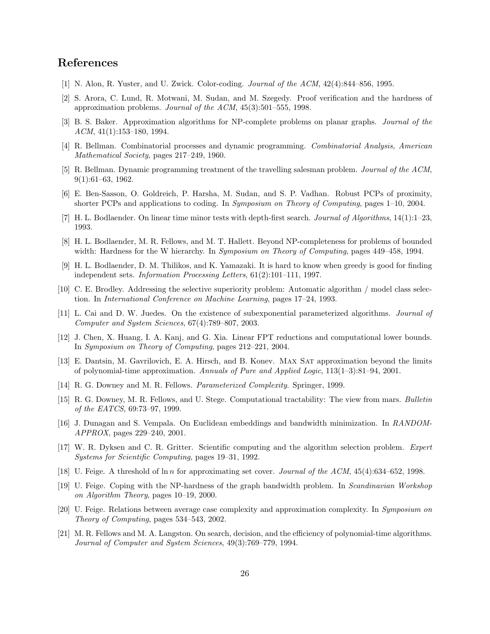# References

- [1] N. Alon, R. Yuster, and U. Zwick. Color-coding. Journal of the ACM, 42(4):844–856, 1995.
- [2] S. Arora, C. Lund, R. Motwani, M. Sudan, and M. Szegedy. Proof verification and the hardness of approximation problems. Journal of the ACM, 45(3):501–555, 1998.
- [3] B. S. Baker. Approximation algorithms for NP-complete problems on planar graphs. Journal of the ACM, 41(1):153–180, 1994.
- [4] R. Bellman. Combinatorial processes and dynamic programming. Combinatorial Analysis, American Mathematical Society, pages 217–249, 1960.
- [5] R. Bellman. Dynamic programming treatment of the travelling salesman problem. Journal of the ACM, 9(1):61–63, 1962.
- [6] E. Ben-Sasson, O. Goldreich, P. Harsha, M. Sudan, and S. P. Vadhan. Robust PCPs of proximity, shorter PCPs and applications to coding. In Symposium on Theory of Computing, pages 1–10, 2004.
- [7] H. L. Bodlaender. On linear time minor tests with depth-first search. Journal of Algorithms, 14(1):1–23, 1993.
- [8] H. L. Bodlaender, M. R. Fellows, and M. T. Hallett. Beyond NP-completeness for problems of bounded width: Hardness for the W hierarchy. In Symposium on Theory of Computing, pages 449–458, 1994.
- [9] H. L. Bodlaender, D. M. Thilikos, and K. Yamazaki. It is hard to know when greedy is good for finding independent sets. Information Processing Letters, 61(2):101–111, 1997.
- [10] C. E. Brodley. Addressing the selective superiority problem: Automatic algorithm / model class selection. In International Conference on Machine Learning, pages 17–24, 1993.
- [11] L. Cai and D. W. Juedes. On the existence of subexponential parameterized algorithms. Journal of Computer and System Sciences, 67(4):789–807, 2003.
- [12] J. Chen, X. Huang, I. A. Kanj, and G. Xia. Linear FPT reductions and computational lower bounds. In Symposium on Theory of Computing, pages 212–221, 2004.
- [13] E. Dantsin, M. Gavrilovich, E. A. Hirsch, and B. Konev. Max Sat approximation beyond the limits of polynomial-time approximation. Annuals of Pure and Applied Logic, 113(1–3):81–94, 2001.
- [14] R. G. Downey and M. R. Fellows. Parameterized Complexity. Springer, 1999.
- [15] R. G. Downey, M. R. Fellows, and U. Stege. Computational tractability: The view from mars. Bulletin of the EATCS, 69:73–97, 1999.
- [16] J. Dunagan and S. Vempala. On Euclidean embeddings and bandwidth minimization. In RANDOM-APPROX, pages 229–240, 2001.
- [17] W. R. Dyksen and C. R. Gritter. Scientific computing and the algorithm selection problem. Expert Systems for Scientific Computing, pages 19–31, 1992.
- [18] U. Feige. A threshold of ln n for approximating set cover. Journal of the ACM, 45(4):634–652, 1998.
- [19] U. Feige. Coping with the NP-hardness of the graph bandwidth problem. In Scandinavian Workshop on Algorithm Theory, pages 10–19, 2000.
- [20] U. Feige. Relations between average case complexity and approximation complexity. In Symposium on Theory of Computing, pages 534–543, 2002.
- [21] M. R. Fellows and M. A. Langston. On search, decision, and the efficiency of polynomial-time algorithms. Journal of Computer and System Sciences, 49(3):769–779, 1994.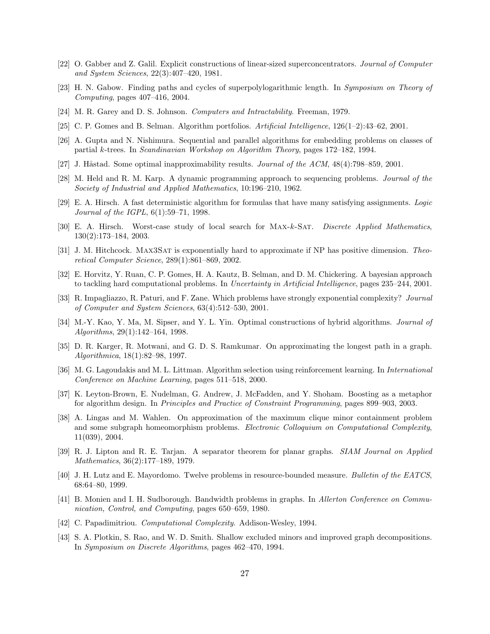- [22] O. Gabber and Z. Galil. Explicit constructions of linear-sized superconcentrators. Journal of Computer and System Sciences, 22(3):407–420, 1981.
- [23] H. N. Gabow. Finding paths and cycles of superpolylogarithmic length. In Symposium on Theory of Computing, pages 407–416, 2004.
- [24] M. R. Garey and D. S. Johnson. Computers and Intractability. Freeman, 1979.
- [25] C. P. Gomes and B. Selman. Algorithm portfolios. Artificial Intelligence, 126(1–2):43–62, 2001.
- [26] A. Gupta and N. Nishimura. Sequential and parallel algorithms for embedding problems on classes of partial k-trees. In Scandinavian Workshop on Algorithm Theory, pages 172–182, 1994.
- [27] J. Håstad. Some optimal inapproximability results. *Journal of the ACM*,  $48(4)$ :798–859, 2001.
- [28] M. Held and R. M. Karp. A dynamic programming approach to sequencing problems. Journal of the Society of Industrial and Applied Mathematics, 10:196–210, 1962.
- [29] E. A. Hirsch. A fast deterministic algorithm for formulas that have many satisfying assignments. Logic Journal of the IGPL, 6(1):59–71, 1998.
- [30] E. A. Hirsch. Worst-case study of local search for Max-k-Sat. Discrete Applied Mathematics, 130(2):173–184, 2003.
- [31] J. M. Hitchcock. MAX3SAT is exponentially hard to approximate if NP has positive dimension. Theoretical Computer Science, 289(1):861–869, 2002.
- [32] E. Horvitz, Y. Ruan, C. P. Gomes, H. A. Kautz, B. Selman, and D. M. Chickering. A bayesian approach to tackling hard computational problems. In Uncertainty in Artificial Intelligence, pages 235–244, 2001.
- [33] R. Impagliazzo, R. Paturi, and F. Zane. Which problems have strongly exponential complexity? Journal of Computer and System Sciences, 63(4):512–530, 2001.
- [34] M.-Y. Kao, Y. Ma, M. Sipser, and Y. L. Yin. Optimal constructions of hybrid algorithms. Journal of Algorithms, 29(1):142–164, 1998.
- [35] D. R. Karger, R. Motwani, and G. D. S. Ramkumar. On approximating the longest path in a graph. Algorithmica, 18(1):82–98, 1997.
- [36] M. G. Lagoudakis and M. L. Littman. Algorithm selection using reinforcement learning. In International Conference on Machine Learning, pages 511–518, 2000.
- [37] K. Leyton-Brown, E. Nudelman, G. Andrew, J. McFadden, and Y. Shoham. Boosting as a metaphor for algorithm design. In Principles and Practice of Constraint Programming, pages 899–903, 2003.
- [38] A. Lingas and M. Wahlen. On approximation of the maximum clique minor containment problem and some subgraph homeomorphism problems. Electronic Colloquium on Computational Complexity, 11(039), 2004.
- [39] R. J. Lipton and R. E. Tarjan. A separator theorem for planar graphs. SIAM Journal on Applied Mathematics, 36(2):177–189, 1979.
- [40] J. H. Lutz and E. Mayordomo. Twelve problems in resource-bounded measure. Bulletin of the EATCS, 68:64–80, 1999.
- [41] B. Monien and I. H. Sudborough. Bandwidth problems in graphs. In Allerton Conference on Communication, Control, and Computing, pages 650–659, 1980.
- [42] C. Papadimitriou. Computational Complexity. Addison-Wesley, 1994.
- [43] S. A. Plotkin, S. Rao, and W. D. Smith. Shallow excluded minors and improved graph decompositions. In Symposium on Discrete Algorithms, pages 462–470, 1994.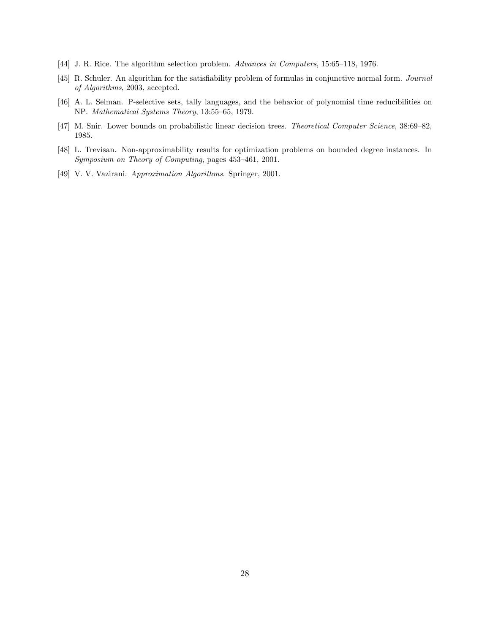- [44] J. R. Rice. The algorithm selection problem. Advances in Computers, 15:65–118, 1976.
- [45] R. Schuler. An algorithm for the satisfiability problem of formulas in conjunctive normal form. Journal of Algorithms, 2003, accepted.
- [46] A. L. Selman. P-selective sets, tally languages, and the behavior of polynomial time reducibilities on NP. Mathematical Systems Theory, 13:55–65, 1979.
- [47] M. Snir. Lower bounds on probabilistic linear decision trees. Theoretical Computer Science, 38:69–82, 1985.
- [48] L. Trevisan. Non-approximability results for optimization problems on bounded degree instances. In Symposium on Theory of Computing, pages 453–461, 2001.
- [49] V. V. Vazirani. Approximation Algorithms. Springer, 2001.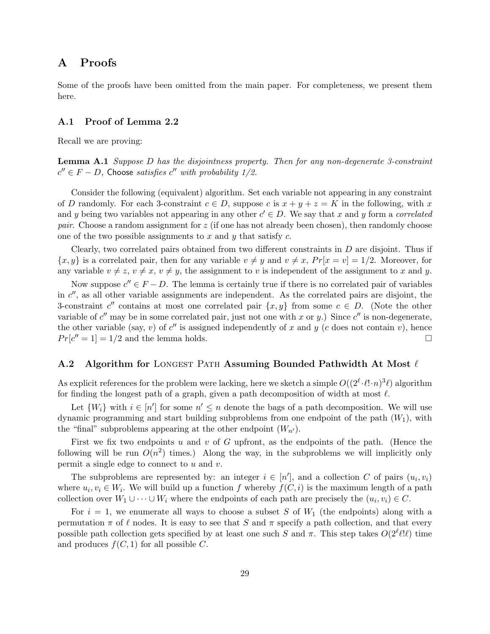# A Proofs

Some of the proofs have been omitted from the main paper. For completeness, we present them here.

## A.1 Proof of Lemma 2.2

Recall we are proving:

**Lemma A.1** Suppose D has the disjointness property. Then for any non-degenerate 3-constraint  $c'' \in F - D$ , Choose satisfies  $c''$  with probability 1/2.

Consider the following (equivalent) algorithm. Set each variable not appearing in any constraint of D randomly. For each 3-constraint  $c \in D$ , suppose c is  $x + y + z = K$  in the following, with x and y being two variables not appearing in any other  $c' \in D$ . We say that x and y form a correlated pair. Choose a random assignment for z (if one has not already been chosen), then randomly choose one of the two possible assignments to  $x$  and  $y$  that satisfy  $c$ .

Clearly, two correlated pairs obtained from two different constraints in  $D$  are disjoint. Thus if  $\{x, y\}$  is a correlated pair, then for any variable  $v \neq y$  and  $v \neq x$ ,  $Pr[x = v] = 1/2$ . Moreover, for any variable  $v \neq z$ ,  $v \neq x$ ,  $v \neq y$ , the assignment to v is independent of the assignment to x and y.

Now suppose  $c'' \in F - D$ . The lemma is certainly true if there is no correlated pair of variables in  $c''$ , as all other variable assignments are independent. As the correlated pairs are disjoint, the 3-constraint  $c''$  contains at most one correlated pair  $\{x, y\}$  from some  $c \in D$ . (Note the other variable of  $c''$  may be in some correlated pair, just not one with x or y.) Since  $c''$  is non-degenerate, the other variable (say, v) of  $c''$  is assigned independently of x and y (c does not contain v), hence  $Pr[c'' = 1] = 1/2$  and the lemma holds.

## A.2 Algorithm for LONGEST PATH Assuming Bounded Pathwidth At Most  $\ell$

As explicit references for the problem were lacking, here we sketch a simple  $O((2^{\ell} \cdot \ell! \cdot n)^3 \ell)$  algorithm for finding the longest path of a graph, given a path decomposition of width at most  $\ell$ .

Let  $\{W_i\}$  with  $i \in [n']$  for some  $n' \leq n$  denote the bags of a path decomposition. We will use dynamic programming and start building subproblems from one endpoint of the path  $(W_1)$ , with the "final" subproblems appearing at the other endpoint  $(W_{n'})$ .

First we fix two endpoints u and v of G upfront, as the endpoints of the path. (Hence the following will be run  $O(n^2)$  times.) Along the way, in the subproblems we will implicitly only permit a single edge to connect to  $u$  and  $v$ .

The subproblems are represented by: an integer  $i \in [n']$ , and a collection C of pairs  $(u_i, v_i)$ where  $u_i, v_i \in W_i$ . We will build up a function f whereby  $f(C, i)$  is the maximum length of a path collection over  $W_1 \cup \cdots \cup W_i$  where the endpoints of each path are precisely the  $(u_i, v_i) \in C$ .

For  $i = 1$ , we enumerate all ways to choose a subset S of  $W_1$  (the endpoints) along with a permutation  $\pi$  of  $\ell$  nodes. It is easy to see that S and  $\pi$  specify a path collection, and that every possible path collection gets specified by at least one such S and  $\pi$ . This step takes  $O(2^{\ell}\ell!\ell)$  time and produces  $f(C, 1)$  for all possible C.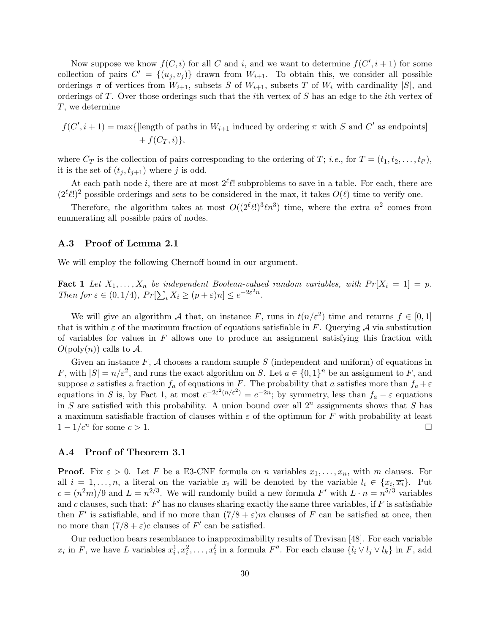Now suppose we know  $f(C, i)$  for all C and i, and we want to determine  $f(C', i + 1)$  for some collection of pairs  $C' = \{(u_j, v_j)\}\)$  drawn from  $W_{i+1}$ . To obtain this, we consider all possible orderings  $\pi$  of vertices from  $W_{i+1}$ , subsets S of  $W_{i+1}$ , subsets T of  $W_i$  with cardinality  $|S|$ , and orderings of T. Over those orderings such that the *i*th vertex of  $S$  has an edge to the *i*th vertex of T, we determine

 $f(C', i + 1) = \max\{\text{length of paths in } W_{i+1} \text{ induced by ordering } \pi \text{ with } S \text{ and } C' \text{ as endpoints}\}\$  $+ f(C_T, i)$ ,

where  $C_T$  is the collection of pairs corresponding to the ordering of T; *i.e.*, for  $T = (t_1, t_2, \ldots, t_{\ell'})$ , it is the set of  $(t_j, t_{j+1})$  where j is odd.

At each path node i, there are at most  $2^{\ell} \ell!$  subproblems to save in a table. For each, there are  $(2^{\ell}\ell!)^2$  possible orderings and sets to be considered in the max, it takes  $O(\ell)$  time to verify one.

Therefore, the algorithm takes at most  $O((2^{\ell}\ell!)^3\ell n^3)$  time, where the extra  $n^2$  comes from enumerating all possible pairs of nodes.

## A.3 Proof of Lemma 2.1

We will employ the following Chernoff bound in our argument.

**Fact 1** Let  $X_1, \ldots, X_n$  be independent Boolean-valued random variables, with  $Pr[X_i = 1] = p$ . Then for  $\varepsilon \in (0, 1/4)$ ,  $Pr[\sum_i X_i \ge (p + \varepsilon)n] \le e^{-2\varepsilon^2 n}$ .

We will give an algorithm A that, on instance F, runs in  $t(n/\varepsilon^2)$  time and returns  $f \in [0,1]$ that is within  $\varepsilon$  of the maximum fraction of equations satisfiable in F. Querying A via substitution of variables for values in  $F$  allows one to produce an assignment satisfying this fraction with  $O(\text{poly}(n))$  calls to A.

Given an instance  $F$ ,  $\mathcal A$  chooses a random sample  $S$  (independent and uniform) of equations in F, with  $|S| = n/\varepsilon^2$ , and runs the exact algorithm on S. Let  $a \in \{0,1\}^n$  be an assignment to F, and suppose a satisfies a fraction  $f_a$  of equations in F. The probability that a satisfies more than  $f_a + \varepsilon$ equations in S is, by Fact 1, at most  $e^{-2\varepsilon^2(n/\varepsilon^2)} = e^{-2n}$ ; by symmetry, less than  $f_a - \varepsilon$  equations in S are satisfied with this probability. A union bound over all  $2^n$  assignments shows that S has a maximum satisfiable fraction of clauses within  $\varepsilon$  of the optimum for F with probability at least  $1 - 1/c^n$  for some  $c > 1$ .

## A.4 Proof of Theorem 3.1

**Proof.** Fix  $\varepsilon > 0$ . Let F be a E3-CNF formula on n variables  $x_1, \ldots, x_n$ , with m clauses. For all  $i = 1, \ldots, n$ , a literal on the variable  $x_i$  will be denoted by the variable  $l_i \in \{x_i, \overline{x_i}\}\.$  Put  $c = (n^2m)/9$  and  $L = n^{2/3}$ . We will randomly build a new formula F' with  $L \cdot n = n^{5/3}$  variables and c clauses, such that:  $F'$  has no clauses sharing exactly the same three variables, if  $F$  is satisfiable then F' is satisfiable, and if no more than  $(7/8 + \varepsilon)m$  clauses of F can be satisfied at once, then no more than  $(7/8 + \varepsilon)c$  clauses of F' can be satisfied.

Our reduction bears resemblance to inapproximability results of Trevisan [48]. For each variable  $x_i$  in F, we have L variables  $x_i^1, x_i^2, \ldots, x_i^l$  in a formula F''. For each clause  $\{l_i \vee l_j \vee l_k\}$  in F, add